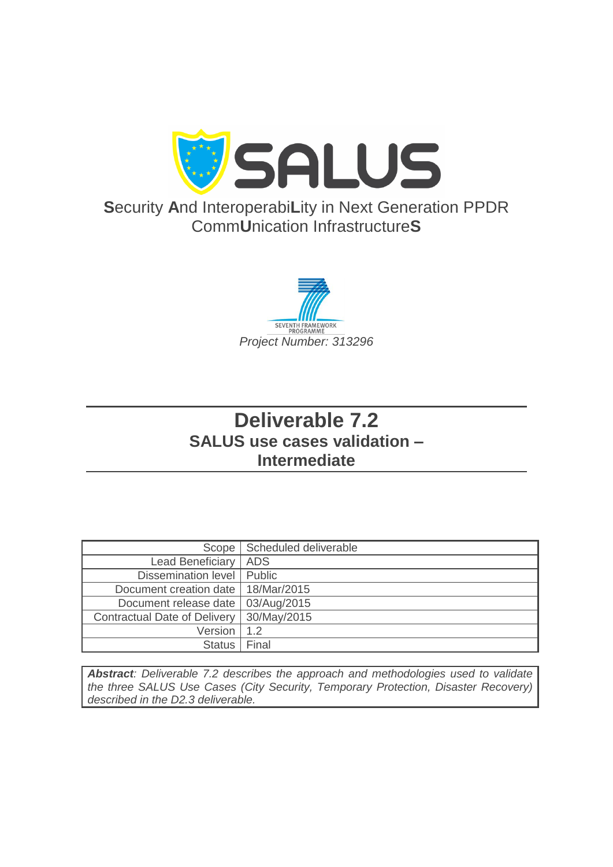

# **S**ecurity **A**nd Interoperabi**L**ity in Next Generation PPDR Comm**U**nication Infrastructure**S**



# **Deliverable 7.2 SALUS use cases validation – Intermediate**

| Scope                                | Scheduled deliverable |
|--------------------------------------|-----------------------|
| <b>Lead Beneficiary</b>              | <b>ADS</b>            |
| Dissemination level                  | Public                |
| Document creation date   18/Mar/2015 |                       |
| Document release date                | 03/Aug/2015           |
| <b>Contractual Date of Delivery</b>  | 30/May/2015           |
| Version                              | 1.2                   |
| <b>Status</b>                        | Final                 |

*Abstract: Deliverable 7.2 describes the approach and methodologies used to validate the three SALUS Use Cases (City Security, Temporary Protection, Disaster Recovery) described in the D2.3 deliverable.*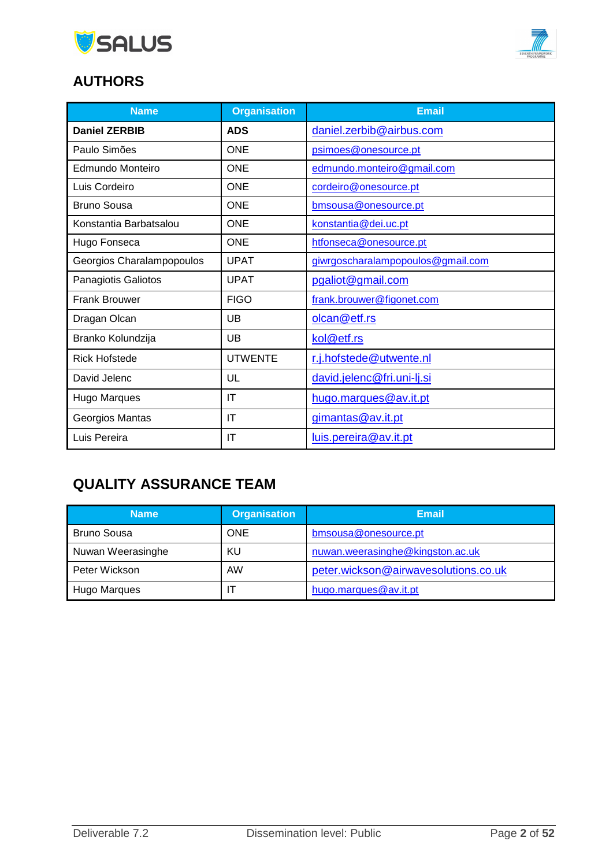



# **AUTHORS**

| <b>Name</b>               | <b>Organisation</b> | <b>Email</b>                      |
|---------------------------|---------------------|-----------------------------------|
| <b>Daniel ZERBIB</b>      | <b>ADS</b>          | daniel.zerbib@airbus.com          |
| Paulo Simões              | <b>ONE</b>          | psimoes@onesource.pt              |
| Edmundo Monteiro          | <b>ONE</b>          | edmundo.monteiro@gmail.com        |
| Luis Cordeiro             | <b>ONE</b>          | cordeiro@onesource.pt             |
| <b>Bruno Sousa</b>        | <b>ONE</b>          | bmsousa@onesource.pt              |
| Konstantia Barbatsalou    | <b>ONE</b>          | konstantia@dei.uc.pt              |
| Hugo Fonseca              | <b>ONE</b>          | htfonseca@onesource.pt            |
| Georgios Charalampopoulos | <b>UPAT</b>         | giwrgoscharalampopoulos@gmail.com |
| Panagiotis Galiotos       | <b>UPAT</b>         | pgaliot@gmail.com                 |
| <b>Frank Brouwer</b>      | <b>FIGO</b>         | frank.brouwer@figonet.com         |
| Dragan Olcan              | UB                  | olcan@etf.rs                      |
| Branko Kolundzija         | UB                  | kol@etf.rs                        |
| <b>Rick Hofstede</b>      | <b>UTWENTE</b>      | r.j.hofstede@utwente.nl           |
| David Jelenc              | UL                  | david.jelenc@fri.uni-lj.si        |
| Hugo Marques              | IT                  | hugo.marques@av.it.pt             |
| Georgios Mantas           | IT                  | gimantas@av.it.pt                 |
| Luis Pereira              | IT                  | luis.pereira@av.it.pt             |

# **QUALITY ASSURANCE TEAM**

| <b>Name</b>        | <b>Organisation</b> | <b>Email</b>                         |
|--------------------|---------------------|--------------------------------------|
| <b>Bruno Sousa</b> | ONE                 | bmsousa@onesource.pt                 |
| Nuwan Weerasinghe  | ΚU                  | nuwan.weerasinghe@kingston.ac.uk     |
| Peter Wickson      | <b>AW</b>           | peter.wickson@airwavesolutions.co.uk |
| Hugo Marques       |                     | hugo.marques@av.it.pt                |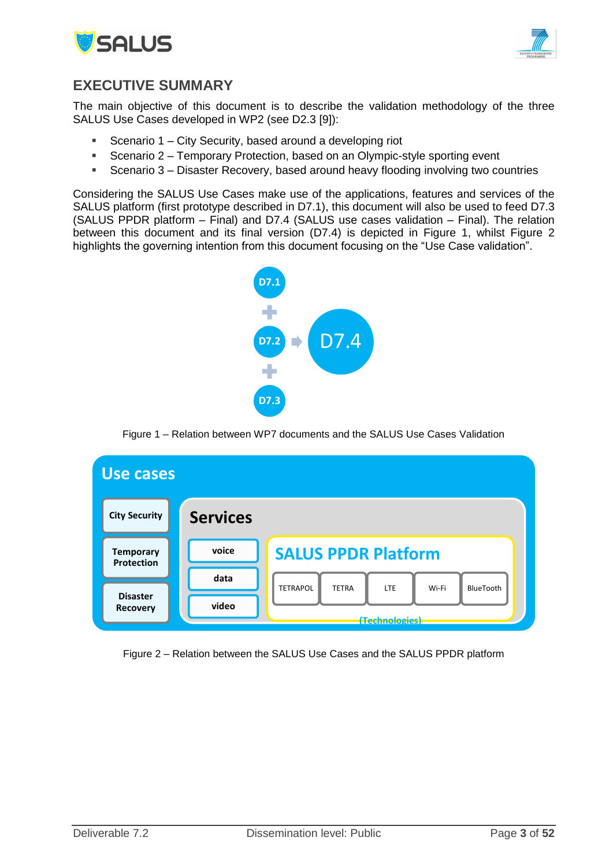



### <span id="page-2-2"></span>**EXECUTIVE SUMMARY**

The main objective of this document is to describe the validation methodology of the three SALUS Use Cases developed in WP2 (see D2.3 [9]):

- Scenario 1 City Security, based around a developing riot
- Scenario 2 Temporary Protection, based on an Olympic-style sporting event
- Scenario 3 Disaster Recovery, based around heavy flooding involving two countries

Considering the SALUS Use Cases make use of the applications, features and services of the SALUS platform (first prototype described in D7.1), this document will also be used to feed D7.3 (SALUS PPDR platform – Final) and D7.4 (SALUS use cases validation – Final). The relation between this document and its final version (D7.4) is depicted in [Figure 1,](#page-2-0) whilst [Figure 2](#page-2-1) highlights the governing intention from this document focusing on the "Use Case validation".



Figure 1 – Relation between WP7 documents and the SALUS Use Cases Validation

<span id="page-2-0"></span>

<span id="page-2-1"></span>Figure 2 – Relation between the SALUS Use Cases and the SALUS PPDR platform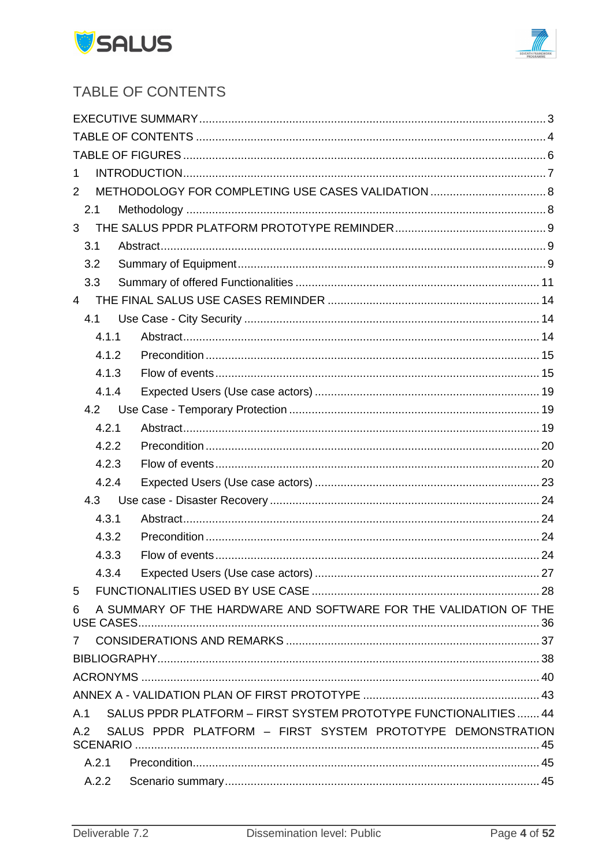



# <span id="page-3-0"></span>TABLE OF CONTENTS

| 1              |                                                                  |  |
|----------------|------------------------------------------------------------------|--|
| $\overline{2}$ |                                                                  |  |
| 2.1            |                                                                  |  |
| 3              |                                                                  |  |
| 3.1            |                                                                  |  |
| 3.2            |                                                                  |  |
| 3.3            |                                                                  |  |
| $\overline{4}$ |                                                                  |  |
| 4.1            |                                                                  |  |
| 4.1.1          |                                                                  |  |
| 4.1.2          |                                                                  |  |
| 4.1.3          |                                                                  |  |
| 4.1.4          |                                                                  |  |
| 4.2            |                                                                  |  |
| 4.2.1          |                                                                  |  |
| 4.2.2          |                                                                  |  |
| 4.2.3          |                                                                  |  |
| 4.2.4          |                                                                  |  |
| 4.3            |                                                                  |  |
| 4.3.1          |                                                                  |  |
| 4.3.2          |                                                                  |  |
| 4.3.3          |                                                                  |  |
|                |                                                                  |  |
| 5              |                                                                  |  |
| 6              | A SUMMARY OF THE HARDWARE AND SOFTWARE FOR THE VALIDATION OF THE |  |
|                |                                                                  |  |
|                |                                                                  |  |
|                |                                                                  |  |
|                |                                                                  |  |
| A.1            | SALUS PPDR PLATFORM - FIRST SYSTEM PROTOTYPE FUNCTIONALITIES  44 |  |
| A.2            | SALUS PPDR PLATFORM - FIRST SYSTEM PROTOTYPE DEMONSTRATION       |  |
| A.2.1          |                                                                  |  |
| A.2.2          |                                                                  |  |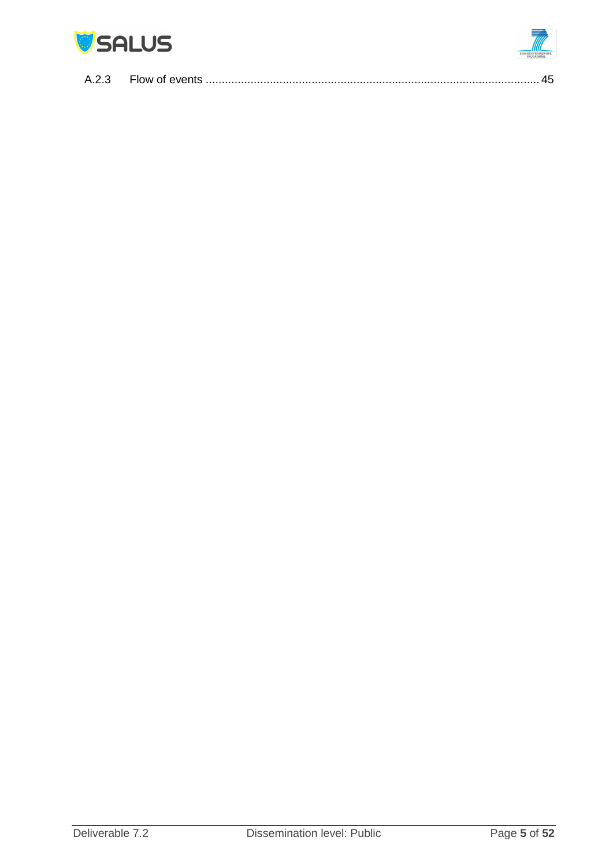

| A.2.3 |  |
|-------|--|
|-------|--|

 $\sqrt{1}$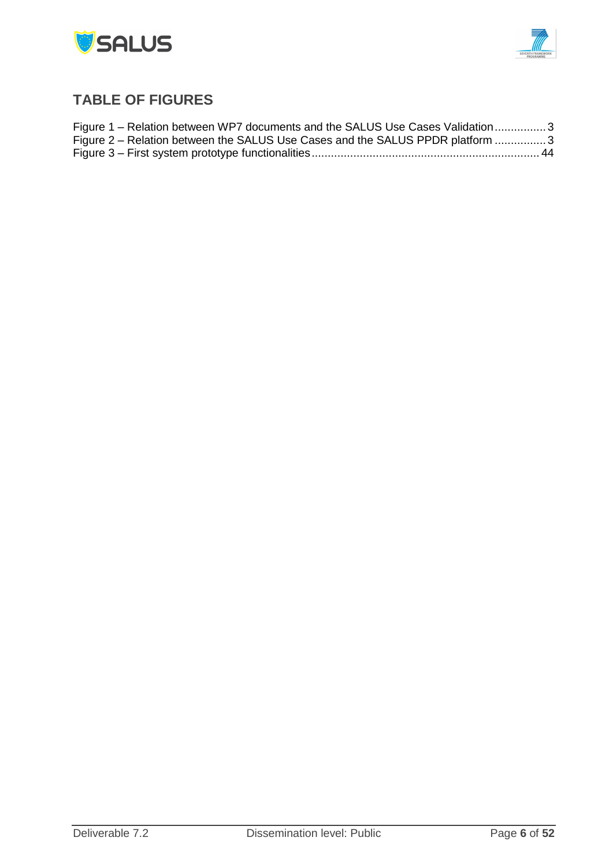



# <span id="page-5-0"></span>**TABLE OF FIGURES**

| Figure 1 – Relation between WP7 documents and the SALUS Use Cases Validation3 |  |
|-------------------------------------------------------------------------------|--|
| Figure 2 – Relation between the SALUS Use Cases and the SALUS PPDR platform 3 |  |
|                                                                               |  |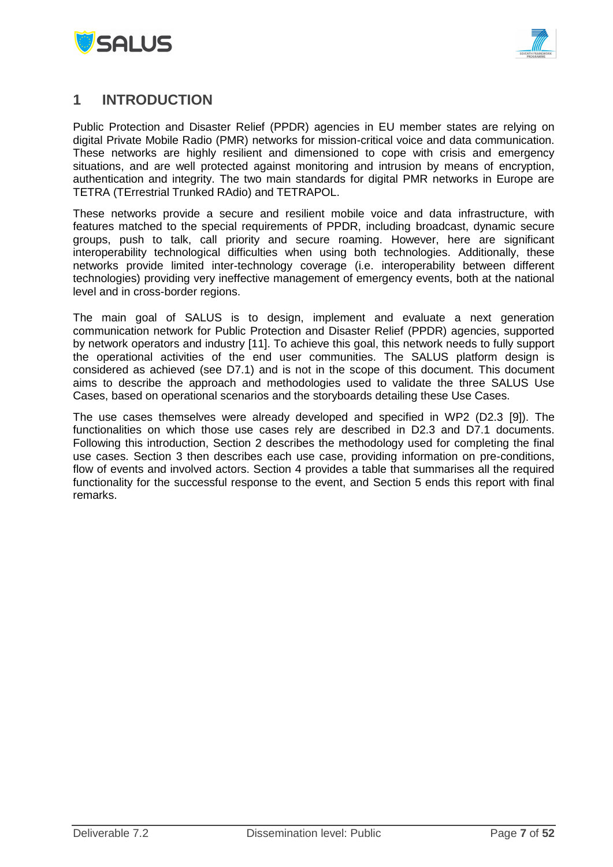



### <span id="page-6-0"></span>**1 INTRODUCTION**

Public Protection and Disaster Relief (PPDR) agencies in EU member states are relying on digital Private Mobile Radio (PMR) networks for mission-critical voice and data communication. These networks are highly resilient and dimensioned to cope with crisis and emergency situations, and are well protected against monitoring and intrusion by means of encryption, authentication and integrity. The two main standards for digital PMR networks in Europe are TETRA (TErrestrial Trunked RAdio) and TETRAPOL.

These networks provide a secure and resilient mobile voice and data infrastructure, with features matched to the special requirements of PPDR, including broadcast, dynamic secure groups, push to talk, call priority and secure roaming. However, here are significant interoperability technological difficulties when using both technologies. Additionally, these networks provide limited inter-technology coverage (i.e. interoperability between different technologies) providing very ineffective management of emergency events, both at the national level and in cross-border regions.

The main goal of SALUS is to design, implement and evaluate a next generation communication network for Public Protection and Disaster Relief (PPDR) agencies, supported by network operators and industry [11]. To achieve this goal, this network needs to fully support the operational activities of the end user communities. The SALUS platform design is considered as achieved (see D7.1) and is not in the scope of this document. This document aims to describe the approach and methodologies used to validate the three SALUS Use Cases, based on operational scenarios and the storyboards detailing these Use Cases.

The use cases themselves were already developed and specified in WP2 (D2.3 [9]). The functionalities on which those use cases rely are described in D2.3 and D7.1 documents. Following this introduction, Section 2 describes the methodology used for completing the final use cases. Section 3 then describes each use case, providing information on pre-conditions, flow of events and involved actors. Section 4 provides a table that summarises all the required functionality for the successful response to the event, and Section 5 ends this report with final remarks.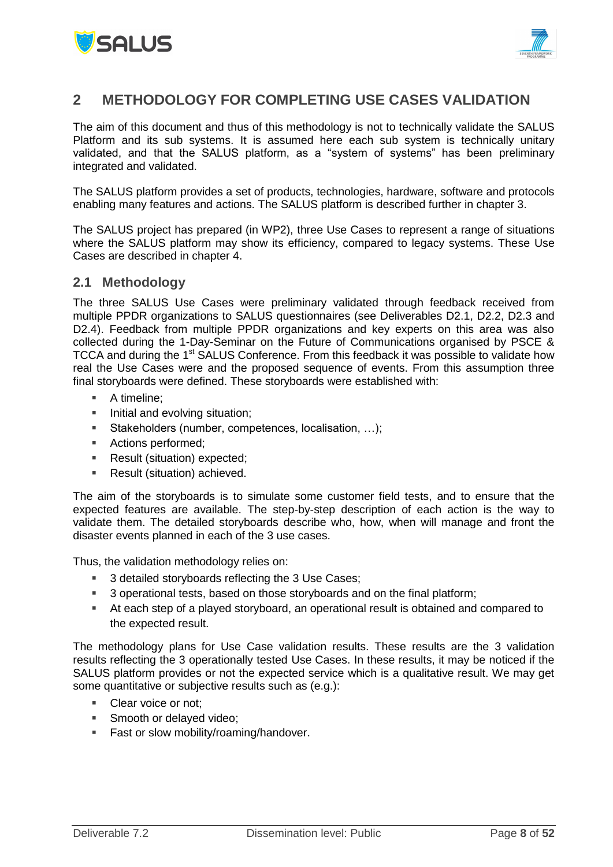



## <span id="page-7-0"></span>**2 METHODOLOGY FOR COMPLETING USE CASES VALIDATION**

The aim of this document and thus of this methodology is not to technically validate the SALUS Platform and its sub systems. It is assumed here each sub system is technically unitary validated, and that the SALUS platform, as a "system of systems" has been preliminary integrated and validated.

The SALUS platform provides a set of products, technologies, hardware, software and protocols enabling many features and actions. The SALUS platform is described further in chapter 3.

The SALUS project has prepared (in WP2), three Use Cases to represent a range of situations where the SALUS platform may show its efficiency, compared to legacy systems. These Use Cases are described in chapter 4.

#### <span id="page-7-1"></span>**2.1 Methodology**

The three SALUS Use Cases were preliminary validated through feedback received from multiple PPDR organizations to SALUS questionnaires (see Deliverables D2.1, D2.2, D2.3 and D2.4). Feedback from multiple PPDR organizations and key experts on this area was also collected during the 1-Day-Seminar on the Future of Communications organised by PSCE & TCCA and during the 1<sup>st</sup> SALUS Conference. From this feedback it was possible to validate how real the Use Cases were and the proposed sequence of events. From this assumption three final storyboards were defined. These storyboards were established with:

- A timeline;
- Initial and evolving situation:
- Stakeholders (number, competences, localisation, …);
- Actions performed;
- Result (situation) expected;
- Result (situation) achieved.

The aim of the storyboards is to simulate some customer field tests, and to ensure that the expected features are available. The step-by-step description of each action is the way to validate them. The detailed storyboards describe who, how, when will manage and front the disaster events planned in each of the 3 use cases.

Thus, the validation methodology relies on:

- 3 detailed storyboards reflecting the 3 Use Cases;
- <sup>3</sup> operational tests, based on those storyboards and on the final platform;
- At each step of a played storyboard, an operational result is obtained and compared to the expected result.

The methodology plans for Use Case validation results. These results are the 3 validation results reflecting the 3 operationally tested Use Cases. In these results, it may be noticed if the SALUS platform provides or not the expected service which is a qualitative result. We may get some quantitative or subjective results such as (e.g.):

- Clear voice or not;
- Smooth or delayed video;
- **Fast or slow mobility/roaming/handover.**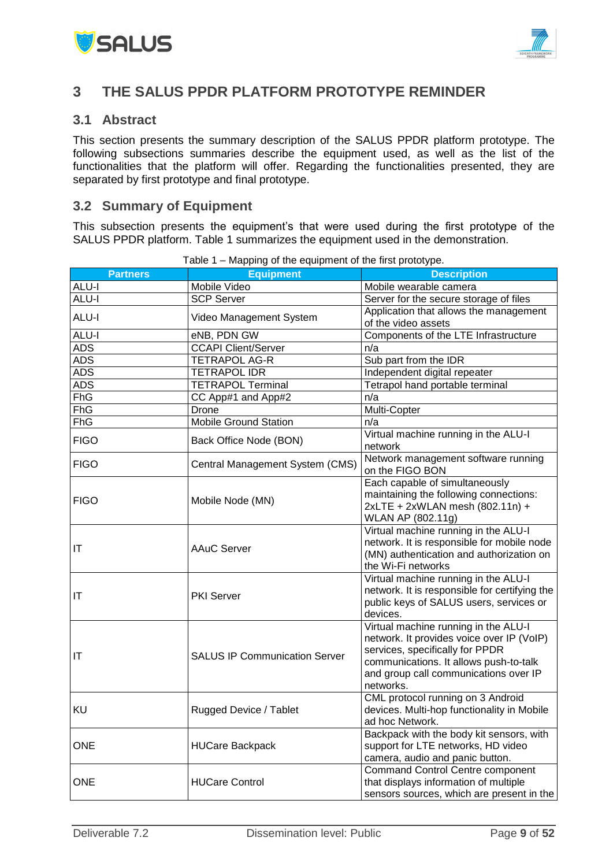



### <span id="page-8-0"></span>**3 THE SALUS PPDR PLATFORM PROTOTYPE REMINDER**

#### <span id="page-8-1"></span>**3.1 Abstract**

This section presents the summary description of the SALUS PPDR platform prototype. The following subsections summaries describe the equipment used, as well as the list of the functionalities that the platform will offer. Regarding the functionalities presented, they are separated by first prototype and final prototype.

### <span id="page-8-2"></span>**3.2 Summary of Equipment**

This subsection presents the equipment's that were used during the first prototype of the SALUS PPDR platform. Table 1 summarizes the equipment used in the demonstration.

| <b>Partners</b> | <b>Equipment</b>                     | <b>Description</b>                                                                       |
|-----------------|--------------------------------------|------------------------------------------------------------------------------------------|
| <b>ALU-I</b>    | Mobile Video                         | Mobile wearable camera                                                                   |
| ALU-I           | <b>SCP Server</b>                    | Server for the secure storage of files                                                   |
| <b>ALU-I</b>    |                                      | Application that allows the management                                                   |
|                 | Video Management System              | of the video assets                                                                      |
| <b>ALU-I</b>    | eNB, PDN GW                          | Components of the LTE Infrastructure                                                     |
| <b>ADS</b>      | <b>CCAPI Client/Server</b>           | n/a                                                                                      |
| <b>ADS</b>      | <b>TETRAPOL AG-R</b>                 | Sub part from the IDR                                                                    |
| <b>ADS</b>      | <b>TETRAPOL IDR</b>                  | Independent digital repeater                                                             |
| <b>ADS</b>      | <b>TETRAPOL Terminal</b>             | Tetrapol hand portable terminal                                                          |
| <b>FhG</b>      | CC App#1 and App#2                   | n/a                                                                                      |
| <b>FhG</b>      | Drone                                | Multi-Copter                                                                             |
| <b>FhG</b>      | <b>Mobile Ground Station</b>         | n/a                                                                                      |
| <b>FIGO</b>     | Back Office Node (BON)               | Virtual machine running in the ALU-I<br>network                                          |
|                 |                                      | Network management software running                                                      |
| <b>FIGO</b>     | Central Management System (CMS)      | on the FIGO BON                                                                          |
|                 |                                      | Each capable of simultaneously                                                           |
| <b>FIGO</b>     | Mobile Node (MN)                     | maintaining the following connections:                                                   |
|                 |                                      | 2xLTE + 2xWLAN mesh (802.11n) +                                                          |
|                 |                                      | WLAN AP (802.11g)                                                                        |
|                 |                                      | Virtual machine running in the ALU-I                                                     |
| ΙT              | <b>AAuC Server</b>                   | network. It is responsible for mobile node                                               |
|                 |                                      | (MN) authentication and authorization on                                                 |
|                 |                                      | the Wi-Fi networks                                                                       |
|                 |                                      | Virtual machine running in the ALU-I                                                     |
| IT              | <b>PKI Server</b>                    | network. It is responsible for certifying the<br>public keys of SALUS users, services or |
|                 |                                      | devices.                                                                                 |
|                 |                                      | Virtual machine running in the ALU-I                                                     |
|                 |                                      | network. It provides voice over IP (VoIP)                                                |
|                 |                                      | services, specifically for PPDR                                                          |
| IT              | <b>SALUS IP Communication Server</b> | communications. It allows push-to-talk                                                   |
|                 |                                      | and group call communications over IP                                                    |
|                 |                                      | networks.                                                                                |
|                 |                                      | CML protocol running on 3 Android                                                        |
| KU              | Rugged Device / Tablet               | devices. Multi-hop functionality in Mobile                                               |
|                 |                                      | ad hoc Network.                                                                          |
|                 |                                      | Backpack with the body kit sensors, with                                                 |
| <b>ONE</b>      | <b>HUCare Backpack</b>               | support for LTE networks, HD video                                                       |
|                 |                                      | camera, audio and panic button.                                                          |
|                 |                                      | <b>Command Control Centre component</b>                                                  |
| <b>ONE</b>      | <b>HUCare Control</b>                | that displays information of multiple                                                    |
|                 |                                      | sensors sources, which are present in the                                                |

Table 1 – Mapping of the equipment of the first prototype.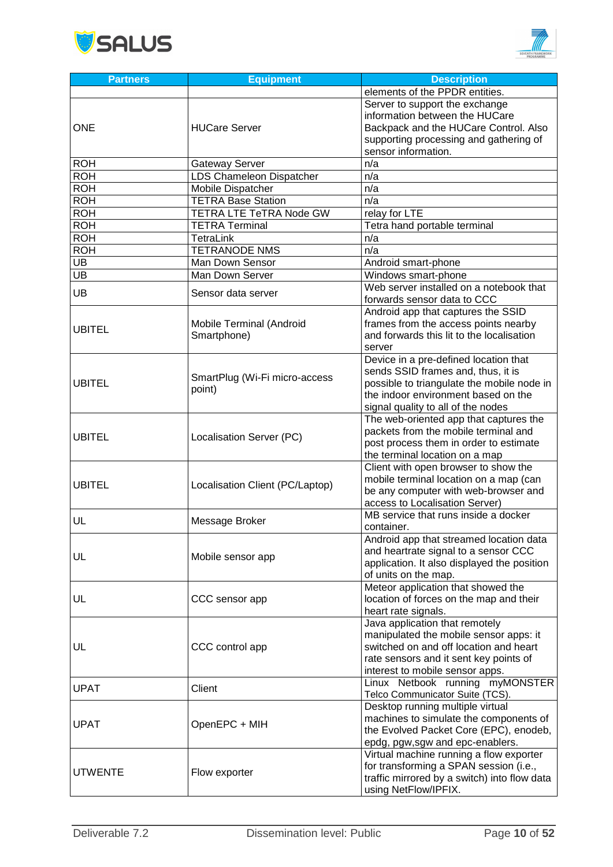



| <b>Partners</b>  | <b>Equipment</b>                        | <b>Description</b>                                                                                                                                                                                     |
|------------------|-----------------------------------------|--------------------------------------------------------------------------------------------------------------------------------------------------------------------------------------------------------|
|                  |                                         | elements of the PPDR entities.                                                                                                                                                                         |
| <b>ONE</b>       | <b>HUCare Server</b>                    | Server to support the exchange<br>information between the HUCare<br>Backpack and the HUCare Control. Also<br>supporting processing and gathering of<br>sensor information.                             |
| <b>ROH</b>       | <b>Gateway Server</b>                   | n/a                                                                                                                                                                                                    |
| <b>ROH</b>       | LDS Chameleon Dispatcher                | n/a                                                                                                                                                                                                    |
| <b>ROH</b>       | Mobile Dispatcher                       | n/a                                                                                                                                                                                                    |
| $R\overline{OH}$ | <b>TETRA Base Station</b>               | n/a                                                                                                                                                                                                    |
| <b>ROH</b>       | TETRA LTE TeTRA Node GW                 | relay for LTE                                                                                                                                                                                          |
| <b>ROH</b>       | <b>TETRA Terminal</b>                   | Tetra hand portable terminal                                                                                                                                                                           |
| ROH              | <b>TetraLink</b>                        | n/a                                                                                                                                                                                                    |
| <b>ROH</b>       | <b>TETRANODE NMS</b>                    | n/a                                                                                                                                                                                                    |
| UB               | Man Down Sensor                         | Android smart-phone                                                                                                                                                                                    |
| UB               | Man Down Server                         | Windows smart-phone                                                                                                                                                                                    |
| UB               | Sensor data server                      | Web server installed on a notebook that<br>forwards sensor data to CCC                                                                                                                                 |
| <b>UBITEL</b>    | Mobile Terminal (Android<br>Smartphone) | Android app that captures the SSID<br>frames from the access points nearby<br>and forwards this lit to the localisation<br>server                                                                      |
| <b>UBITEL</b>    | SmartPlug (Wi-Fi micro-access<br>point) | Device in a pre-defined location that<br>sends SSID frames and, thus, it is<br>possible to triangulate the mobile node in<br>the indoor environment based on the<br>signal quality to all of the nodes |
| <b>UBITEL</b>    | Localisation Server (PC)                | The web-oriented app that captures the<br>packets from the mobile terminal and<br>post process them in order to estimate<br>the terminal location on a map                                             |
| <b>UBITEL</b>    | Localisation Client (PC/Laptop)         | Client with open browser to show the<br>mobile terminal location on a map (can<br>be any computer with web-browser and<br>access to Localisation Server)                                               |
| UL               | Message Broker                          | MB service that runs inside a docker<br>container.                                                                                                                                                     |
| UL               | Mobile sensor app                       | Android app that streamed location data<br>and heartrate signal to a sensor CCC<br>application. It also displayed the position<br>of units on the map.                                                 |
| UL               | CCC sensor app                          | Meteor application that showed the<br>location of forces on the map and their<br>heart rate signals.                                                                                                   |
| UL               | CCC control app                         | Java application that remotely<br>manipulated the mobile sensor apps: it<br>switched on and off location and heart<br>rate sensors and it sent key points of<br>interest to mobile sensor apps.        |
| <b>UPAT</b>      | Client                                  | Linux Netbook running myMONSTER<br>Telco Communicator Suite (TCS).                                                                                                                                     |
| <b>UPAT</b>      | OpenEPC + MIH                           | Desktop running multiple virtual<br>machines to simulate the components of<br>the Evolved Packet Core (EPC), enodeb,<br>epdg, pgw,sgw and epc-enablers.                                                |
| <b>UTWENTE</b>   | Flow exporter                           | Virtual machine running a flow exporter<br>for transforming a SPAN session (i.e.,<br>traffic mirrored by a switch) into flow data<br>using NetFlow/IPFIX.                                              |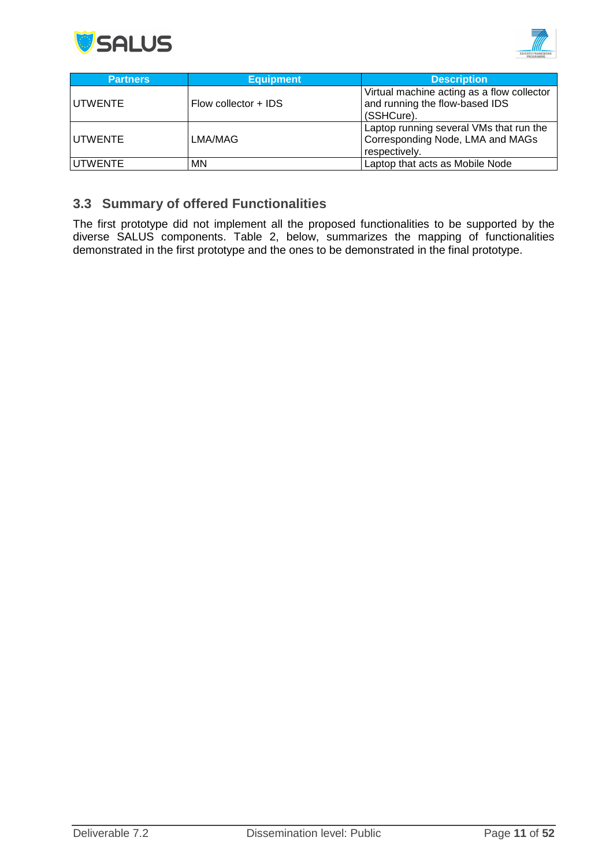



| <b>Partners</b> | <b>Equipment</b>     | <b>Description</b>                                                                           |
|-----------------|----------------------|----------------------------------------------------------------------------------------------|
| <b>UTWENTE</b>  | Flow collector + IDS | Virtual machine acting as a flow collector<br>and running the flow-based IDS<br>(SSHCure).   |
| lUTWENTE        | LMA/MAG              | Laptop running several VMs that run the<br>Corresponding Node, LMA and MAGs<br>respectively. |
| IUTWENTE        | <b>MN</b>            | Laptop that acts as Mobile Node                                                              |

### <span id="page-10-0"></span>**3.3 Summary of offered Functionalities**

The first prototype did not implement all the proposed functionalities to be supported by the diverse SALUS components. Table 2, below, summarizes the mapping of functionalities demonstrated in the first prototype and the ones to be demonstrated in the final prototype.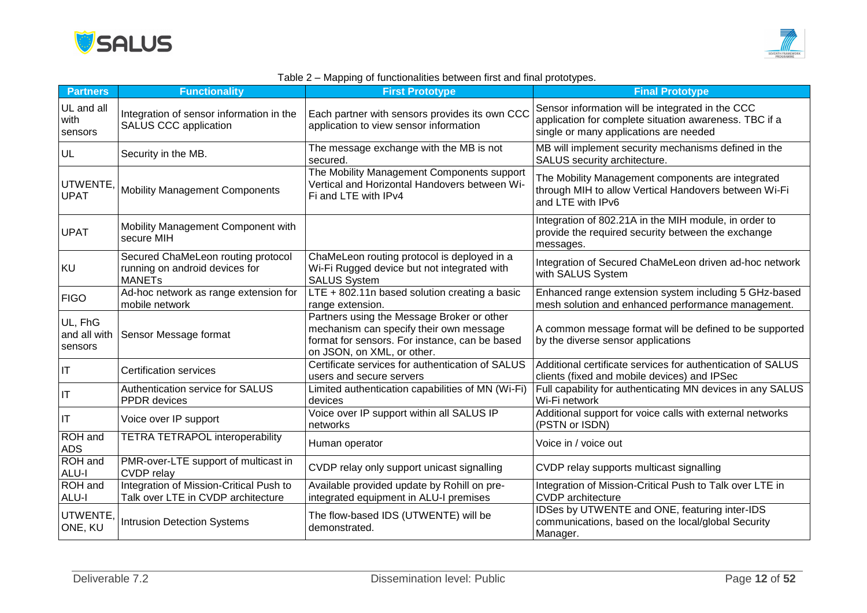



#### Table 2 – Mapping of functionalities between first and final prototypes.

| <b>Partners</b>                    | <b>Functionality</b>                                                                  | <b>First Prototype</b>                                                                                                                                                | <b>Final Prototype</b>                                                                                                                               |
|------------------------------------|---------------------------------------------------------------------------------------|-----------------------------------------------------------------------------------------------------------------------------------------------------------------------|------------------------------------------------------------------------------------------------------------------------------------------------------|
| UL and all<br>with<br>sensors      | Integration of sensor information in the<br>SALUS CCC application                     | Each partner with sensors provides its own CCC<br>application to view sensor information                                                                              | Sensor information will be integrated in the CCC<br>application for complete situation awareness. TBC if a<br>single or many applications are needed |
| UL                                 | Security in the MB.                                                                   | The message exchange with the MB is not<br>secured.                                                                                                                   | MB will implement security mechanisms defined in the<br>SALUS security architecture.                                                                 |
| UTWENTE,<br><b>UPAT</b>            | <b>Mobility Management Components</b>                                                 | The Mobility Management Components support<br>Vertical and Horizontal Handovers between Wi-<br>Fi and LTE with IPv4                                                   | The Mobility Management components are integrated<br>through MIH to allow Vertical Handovers between Wi-Fi<br>and LTE with IPv6                      |
| <b>UPAT</b>                        | Mobility Management Component with<br>secure MIH                                      |                                                                                                                                                                       | Integration of 802.21A in the MIH module, in order to<br>provide the required security between the exchange<br>messages.                             |
| KU                                 | Secured ChaMeLeon routing protocol<br>running on android devices for<br><b>MANETs</b> | ChaMeLeon routing protocol is deployed in a<br>Wi-Fi Rugged device but not integrated with<br><b>SALUS System</b>                                                     | Integration of Secured ChaMeLeon driven ad-hoc network<br>with SALUS System                                                                          |
| <b>FIGO</b>                        | Ad-hoc network as range extension for<br>mobile network                               | LTE + 802.11n based solution creating a basic<br>range extension.                                                                                                     | Enhanced range extension system including 5 GHz-based<br>mesh solution and enhanced performance management.                                          |
| UL, FhG<br>and all with<br>sensors | Sensor Message format                                                                 | Partners using the Message Broker or other<br>mechanism can specify their own message<br>format for sensors. For instance, can be based<br>on JSON, on XML, or other. | A common message format will be defined to be supported<br>by the diverse sensor applications                                                        |
| $\mathsf{I}\mathsf{T}$             | <b>Certification services</b>                                                         | Certificate services for authentication of SALUS<br>users and secure servers                                                                                          | Additional certificate services for authentication of SALUS<br>clients (fixed and mobile devices) and IPSec                                          |
| $\mathsf{I}\mathsf{T}$             | Authentication service for SALUS<br>PPDR devices                                      | Limited authentication capabilities of MN (Wi-Fi)<br>devices                                                                                                          | Full capability for authenticating MN devices in any SALUS<br>Wi-Fi network                                                                          |
| $\mathsf{I}\mathsf{T}$             | Voice over IP support                                                                 | Voice over IP support within all SALUS IP<br>networks                                                                                                                 | Additional support for voice calls with external networks<br>(PSTN or ISDN)                                                                          |
| ROH and<br><b>ADS</b>              | <b>TETRA TETRAPOL interoperability</b>                                                | Human operator                                                                                                                                                        | Voice in / voice out                                                                                                                                 |
| <b>ROH</b> and<br>ALU-I            | PMR-over-LTE support of multicast in<br><b>CVDP</b> relay                             | CVDP relay only support unicast signalling                                                                                                                            | CVDP relay supports multicast signalling                                                                                                             |
| ROH and<br>ALU-I                   | Integration of Mission-Critical Push to<br>Talk over LTE in CVDP architecture         | Available provided update by Rohill on pre-<br>integrated equipment in ALU-I premises                                                                                 | Integration of Mission-Critical Push to Talk over LTE in<br><b>CVDP</b> architecture                                                                 |
| UTWENTE,<br>ONE, KU                | <b>Intrusion Detection Systems</b>                                                    | The flow-based IDS (UTWENTE) will be<br>demonstrated.                                                                                                                 | IDSes by UTWENTE and ONE, featuring inter-IDS<br>communications, based on the local/global Security<br>Manager.                                      |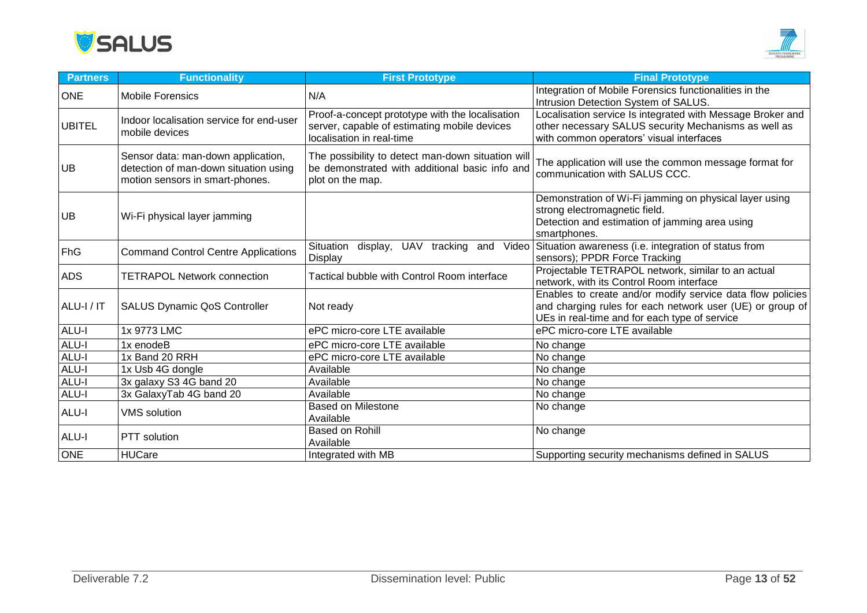



| <b>Partners</b> | <b>Functionality</b>                                                                                           | <b>First Prototype</b>                                                                                                       | <b>Final Prototype</b>                                                                                                                                                   |
|-----------------|----------------------------------------------------------------------------------------------------------------|------------------------------------------------------------------------------------------------------------------------------|--------------------------------------------------------------------------------------------------------------------------------------------------------------------------|
| <b>ONE</b>      | <b>Mobile Forensics</b>                                                                                        | N/A                                                                                                                          | Integration of Mobile Forensics functionalities in the<br>Intrusion Detection System of SALUS.                                                                           |
| <b>UBITEL</b>   | Indoor localisation service for end-user<br>mobile devices                                                     | Proof-a-concept prototype with the localisation<br>server, capable of estimating mobile devices<br>localisation in real-time | Localisation service Is integrated with Message Broker and<br>other necessary SALUS security Mechanisms as well as<br>with common operators' visual interfaces           |
| <b>UB</b>       | Sensor data: man-down application,<br>detection of man-down situation using<br>motion sensors in smart-phones. | The possibility to detect man-down situation will<br>be demonstrated with additional basic info and<br>plot on the map.      | The application will use the common message format for<br>communication with SALUS CCC.                                                                                  |
| <b>UB</b>       | Wi-Fi physical layer jamming                                                                                   |                                                                                                                              | Demonstration of Wi-Fi jamming on physical layer using<br>strong electromagnetic field.<br>Detection and estimation of jamming area using<br>smartphones.                |
| FhG             | <b>Command Control Centre Applications</b>                                                                     | Situation<br>display, UAV tracking and<br>Video<br>Display                                                                   | Situation awareness (i.e. integration of status from<br>sensors); PPDR Force Tracking                                                                                    |
| <b>ADS</b>      | <b>TETRAPOL Network connection</b>                                                                             | Tactical bubble with Control Room interface                                                                                  | Projectable TETRAPOL network, similar to an actual<br>network, with its Control Room interface                                                                           |
| ALU-I / IT      | <b>SALUS Dynamic QoS Controller</b>                                                                            | Not ready                                                                                                                    | Enables to create and/or modify service data flow policies<br>and charging rules for each network user (UE) or group of<br>UEs in real-time and for each type of service |
| ALU-I           | 1x 9773 LMC                                                                                                    | ePC micro-core LTE available                                                                                                 | ePC micro-core LTE available                                                                                                                                             |
| ALU-I           | 1x enodeB                                                                                                      | ePC micro-core LTE available                                                                                                 | No change                                                                                                                                                                |
| ALU-I           | 1x Band 20 RRH                                                                                                 | ePC micro-core LTE available                                                                                                 | No change                                                                                                                                                                |
| ALU-I           | 1x Usb 4G dongle                                                                                               | Available                                                                                                                    | No change                                                                                                                                                                |
| ALU-I           | 3x galaxy S3 4G band 20                                                                                        | Available                                                                                                                    | No change                                                                                                                                                                |
| ALU-I           | 3x GalaxyTab 4G band 20                                                                                        | Available                                                                                                                    | No change                                                                                                                                                                |
| ALU-I           | <b>VMS</b> solution                                                                                            | <b>Based on Milestone</b><br>Available                                                                                       | No change                                                                                                                                                                |
| ALU-I           | PTT solution                                                                                                   | Based on Rohill<br>Available                                                                                                 | No change                                                                                                                                                                |
| <b>ONE</b>      | <b>HUCare</b>                                                                                                  | Integrated with MB                                                                                                           | Supporting security mechanisms defined in SALUS                                                                                                                          |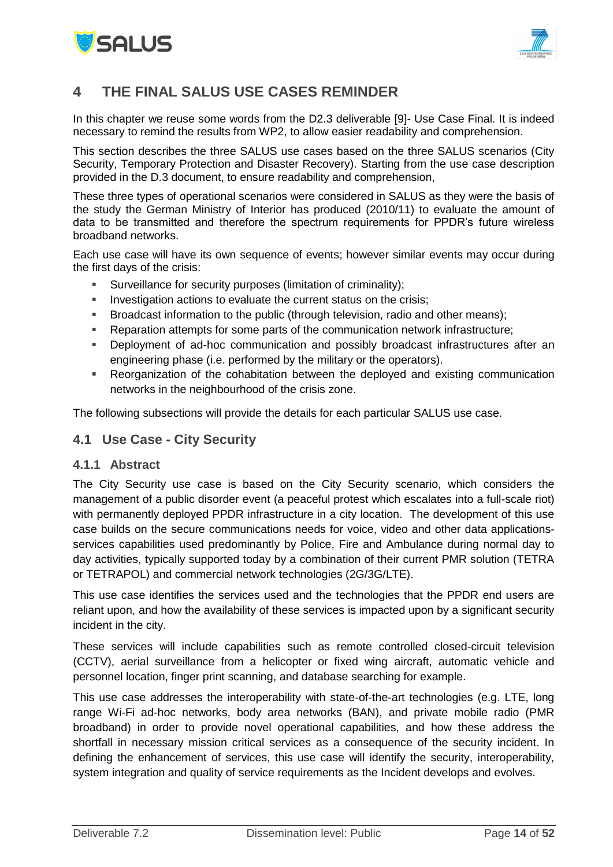



# <span id="page-13-0"></span>**4 THE FINAL SALUS USE CASES REMINDER**

In this chapter we reuse some words from the D2.3 deliverable [9]- Use Case Final. It is indeed necessary to remind the results from WP2, to allow easier readability and comprehension.

This section describes the three SALUS use cases based on the three SALUS scenarios (City Security, Temporary Protection and Disaster Recovery). Starting from the use case description provided in the D.3 document, to ensure readability and comprehension,

These three types of operational scenarios were considered in SALUS as they were the basis of the study the German Ministry of Interior has produced (2010/11) to evaluate the amount of data to be transmitted and therefore the spectrum requirements for PPDR's future wireless broadband networks.

Each use case will have its own sequence of events; however similar events may occur during the first days of the crisis:

- Surveillance for security purposes (limitation of criminality);
- **Investigation actions to evaluate the current status on the crisis;**
- Broadcast information to the public (through television, radio and other means);
- Reparation attempts for some parts of the communication network infrastructure;
- Deployment of ad-hoc communication and possibly broadcast infrastructures after an engineering phase (i.e. performed by the military or the operators).
- Reorganization of the cohabitation between the deployed and existing communication networks in the neighbourhood of the crisis zone.

<span id="page-13-1"></span>The following subsections will provide the details for each particular SALUS use case.

#### **4.1 Use Case - City Security**

#### <span id="page-13-2"></span>**4.1.1 Abstract**

The City Security use case is based on the City Security scenario, which considers the management of a public disorder event (a peaceful protest which escalates into a full-scale riot) with permanently deployed PPDR infrastructure in a city location. The development of this use case builds on the secure communications needs for voice, video and other data applicationsservices capabilities used predominantly by Police, Fire and Ambulance during normal day to day activities, typically supported today by a combination of their current PMR solution (TETRA or TETRAPOL) and commercial network technologies (2G/3G/LTE).

This use case identifies the services used and the technologies that the PPDR end users are reliant upon, and how the availability of these services is impacted upon by a significant security incident in the city.

These services will include capabilities such as remote controlled closed-circuit television (CCTV), aerial surveillance from a helicopter or fixed wing aircraft, automatic vehicle and personnel location, finger print scanning, and database searching for example.

This use case addresses the interoperability with state-of-the-art technologies (e.g. LTE, long range Wi-Fi ad-hoc networks, body area networks (BAN), and private mobile radio (PMR broadband) in order to provide novel operational capabilities, and how these address the shortfall in necessary mission critical services as a consequence of the security incident. In defining the enhancement of services, this use case will identify the security, interoperability, system integration and quality of service requirements as the Incident develops and evolves.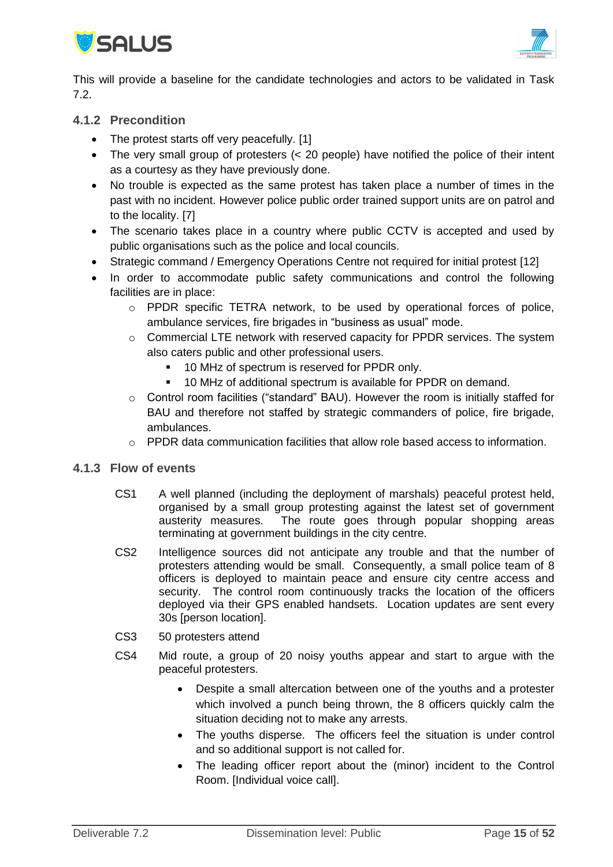



This will provide a baseline for the candidate technologies and actors to be validated in Task 7.2.

### <span id="page-14-0"></span>**4.1.2 Precondition**

- The protest starts off very peacefully. [1]
- The very small group of protesters (< 20 people) have notified the police of their intent as a courtesy as they have previously done.
- No trouble is expected as the same protest has taken place a number of times in the past with no incident. However police public order trained support units are on patrol and to the locality. [7]
- The scenario takes place in a country where public CCTV is accepted and used by public organisations such as the police and local councils.
- Strategic command / Emergency Operations Centre not required for initial protest [12]
- In order to accommodate public safety communications and control the following facilities are in place:
	- o PPDR specific TETRA network, to be used by operational forces of police, ambulance services, fire brigades in "business as usual" mode.
	- $\circ$  Commercial LTE network with reserved capacity for PPDR services. The system also caters public and other professional users.
		- **10 MHz of spectrum is reserved for PPDR only.**
		- 10 MHz of additional spectrum is available for PPDR on demand.
	- o Control room facilities ("standard" BAU). However the room is initially staffed for BAU and therefore not staffed by strategic commanders of police, fire brigade, ambulances.
	- $\circ$  PPDR data communication facilities that allow role based access to information.

#### <span id="page-14-1"></span>**4.1.3 Flow of events**

- CS1 A well planned (including the deployment of marshals) peaceful protest held, organised by a small group protesting against the latest set of government austerity measures. The route goes through popular shopping areas terminating at government buildings in the city centre.
- CS2 Intelligence sources did not anticipate any trouble and that the number of protesters attending would be small. Consequently, a small police team of 8 officers is deployed to maintain peace and ensure city centre access and security. The control room continuously tracks the location of the officers deployed via their GPS enabled handsets. Location updates are sent every 30s [person location].
- CS3 50 protesters attend
- CS4 Mid route, a group of 20 noisy youths appear and start to argue with the peaceful protesters.
	- Despite a small altercation between one of the youths and a protester which involved a punch being thrown, the 8 officers quickly calm the situation deciding not to make any arrests.
	- The youths disperse. The officers feel the situation is under control and so additional support is not called for.
	- The leading officer report about the (minor) incident to the Control Room. [Individual voice call].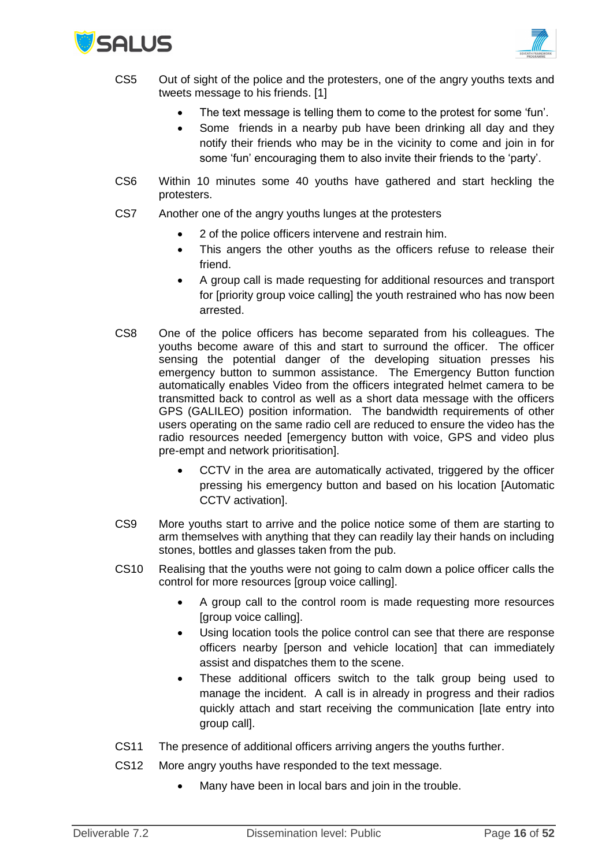



- CS5 Out of sight of the police and the protesters, one of the angry youths texts and tweets message to his friends. [1]
	- The text message is telling them to come to the protest for some 'fun'.
	- Some friends in a nearby pub have been drinking all day and they notify their friends who may be in the vicinity to come and join in for some 'fun' encouraging them to also invite their friends to the 'party'.
- CS6 Within 10 minutes some 40 youths have gathered and start heckling the protesters.
- CS7 Another one of the angry youths lunges at the protesters
	- 2 of the police officers intervene and restrain him.
	- This angers the other youths as the officers refuse to release their friend.
	- A group call is made requesting for additional resources and transport for [priority group voice calling] the youth restrained who has now been arrested.
- CS8 One of the police officers has become separated from his colleagues. The youths become aware of this and start to surround the officer. The officer sensing the potential danger of the developing situation presses his emergency button to summon assistance. The Emergency Button function automatically enables Video from the officers integrated helmet camera to be transmitted back to control as well as a short data message with the officers GPS (GALILEO) position information. The bandwidth requirements of other users operating on the same radio cell are reduced to ensure the video has the radio resources needed [emergency button with voice, GPS and video plus pre-empt and network prioritisation].
	- CCTV in the area are automatically activated, triggered by the officer pressing his emergency button and based on his location [Automatic CCTV activation].
- CS9 More youths start to arrive and the police notice some of them are starting to arm themselves with anything that they can readily lay their hands on including stones, bottles and glasses taken from the pub.
- CS10 Realising that the youths were not going to calm down a police officer calls the control for more resources [group voice calling].
	- A group call to the control room is made requesting more resources [group voice calling].
	- Using location tools the police control can see that there are response officers nearby [person and vehicle location] that can immediately assist and dispatches them to the scene.
	- These additional officers switch to the talk group being used to manage the incident. A call is in already in progress and their radios quickly attach and start receiving the communication [late entry into group call].
- CS11 The presence of additional officers arriving angers the youths further.
- CS12 More angry youths have responded to the text message.
	- Many have been in local bars and join in the trouble.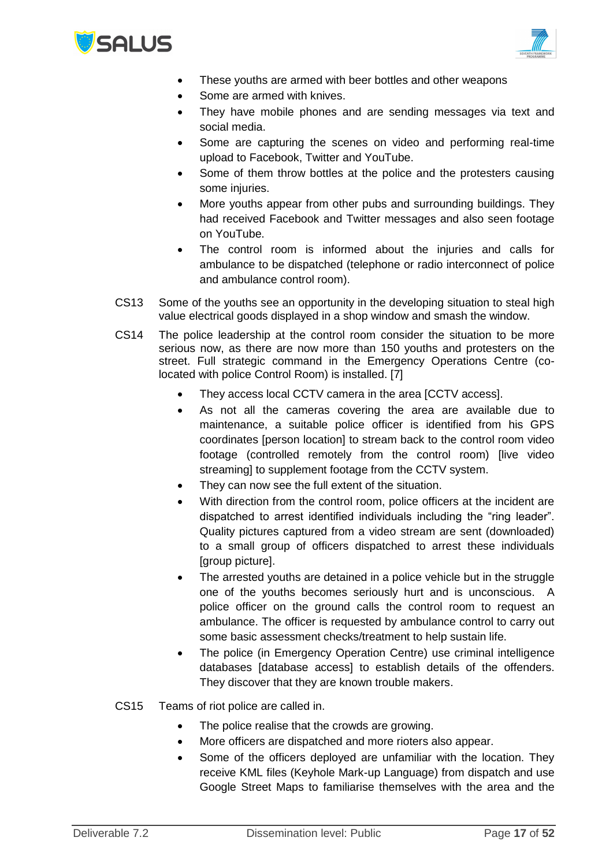



- These youths are armed with beer bottles and other weapons
- Some are armed with knives.
- They have mobile phones and are sending messages via text and social media.
- Some are capturing the scenes on video and performing real-time upload to Facebook, Twitter and YouTube.
- Some of them throw bottles at the police and the protesters causing some injuries.
- More youths appear from other pubs and surrounding buildings. They had received Facebook and Twitter messages and also seen footage on YouTube.
- The control room is informed about the injuries and calls for ambulance to be dispatched (telephone or radio interconnect of police and ambulance control room).
- CS13 Some of the youths see an opportunity in the developing situation to steal high value electrical goods displayed in a shop window and smash the window.
- CS14 The police leadership at the control room consider the situation to be more serious now, as there are now more than 150 youths and protesters on the street. Full strategic command in the Emergency Operations Centre (colocated with police Control Room) is installed. [7]
	- They access local CCTV camera in the area [CCTV access].
	- As not all the cameras covering the area are available due to maintenance, a suitable police officer is identified from his GPS coordinates [person location] to stream back to the control room video footage (controlled remotely from the control room) [live video streaming] to supplement footage from the CCTV system.
	- They can now see the full extent of the situation.
	- With direction from the control room, police officers at the incident are dispatched to arrest identified individuals including the "ring leader". Quality pictures captured from a video stream are sent (downloaded) to a small group of officers dispatched to arrest these individuals [group picture].
	- The arrested youths are detained in a police vehicle but in the struggle one of the youths becomes seriously hurt and is unconscious. A police officer on the ground calls the control room to request an ambulance. The officer is requested by ambulance control to carry out some basic assessment checks/treatment to help sustain life.
	- The police (in Emergency Operation Centre) use criminal intelligence databases [database access] to establish details of the offenders. They discover that they are known trouble makers.
- CS15 Teams of riot police are called in.
	- The police realise that the crowds are growing.
	- More officers are dispatched and more rioters also appear.
	- Some of the officers deployed are unfamiliar with the location. They receive KML files (Keyhole Mark-up Language) from dispatch and use Google Street Maps to familiarise themselves with the area and the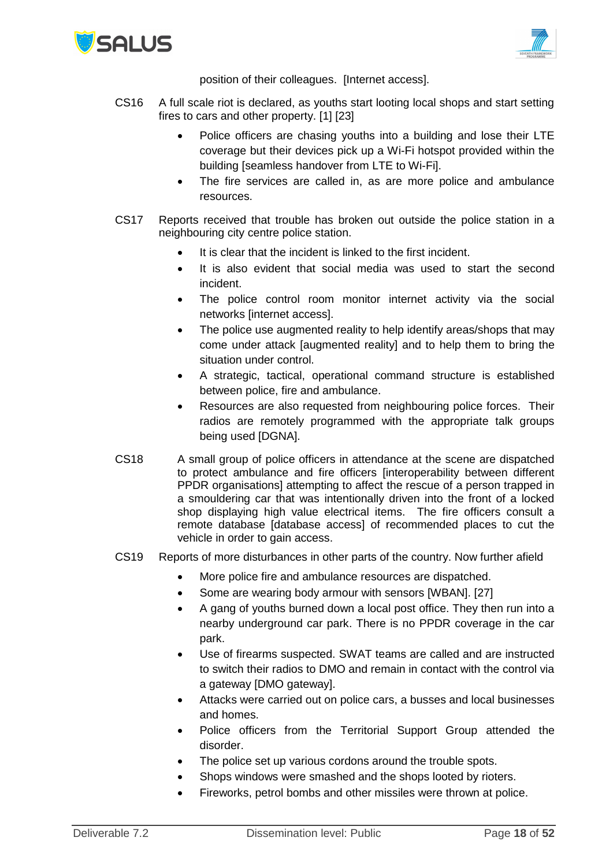



position of their colleagues. [Internet access].

- CS16 A full scale riot is declared, as youths start looting local shops and start setting fires to cars and other property. [1] [23]
	- Police officers are chasing youths into a building and lose their LTE coverage but their devices pick up a Wi-Fi hotspot provided within the building [seamless handover from LTE to Wi-Fi].
	- The fire services are called in, as are more police and ambulance resources.
- CS17 Reports received that trouble has broken out outside the police station in a neighbouring city centre police station.
	- It is clear that the incident is linked to the first incident.
	- It is also evident that social media was used to start the second incident.
	- The police control room monitor internet activity via the social networks [internet access].
	- The police use augmented reality to help identify areas/shops that may come under attack [augmented reality] and to help them to bring the situation under control.
	- A strategic, tactical, operational command structure is established between police, fire and ambulance.
	- Resources are also requested from neighbouring police forces. Their radios are remotely programmed with the appropriate talk groups being used [DGNA].
- CS18 A small group of police officers in attendance at the scene are dispatched to protect ambulance and fire officers [interoperability between different PPDR organisations] attempting to affect the rescue of a person trapped in a smouldering car that was intentionally driven into the front of a locked shop displaying high value electrical items. The fire officers consult a remote database [database access] of recommended places to cut the vehicle in order to gain access.
- CS19 Reports of more disturbances in other parts of the country. Now further afield
	- More police fire and ambulance resources are dispatched.
	- Some are wearing body armour with sensors [WBAN]. [27]
	- A gang of youths burned down a local post office. They then run into a nearby underground car park. There is no PPDR coverage in the car park.
	- Use of firearms suspected. SWAT teams are called and are instructed to switch their radios to DMO and remain in contact with the control via a gateway [DMO gateway].
	- Attacks were carried out on police cars, a busses and local businesses and homes.
	- Police officers from the Territorial Support Group attended the disorder.
	- The police set up various cordons around the trouble spots.
	- Shops windows were smashed and the shops looted by rioters.
	- Fireworks, petrol bombs and other missiles were thrown at police.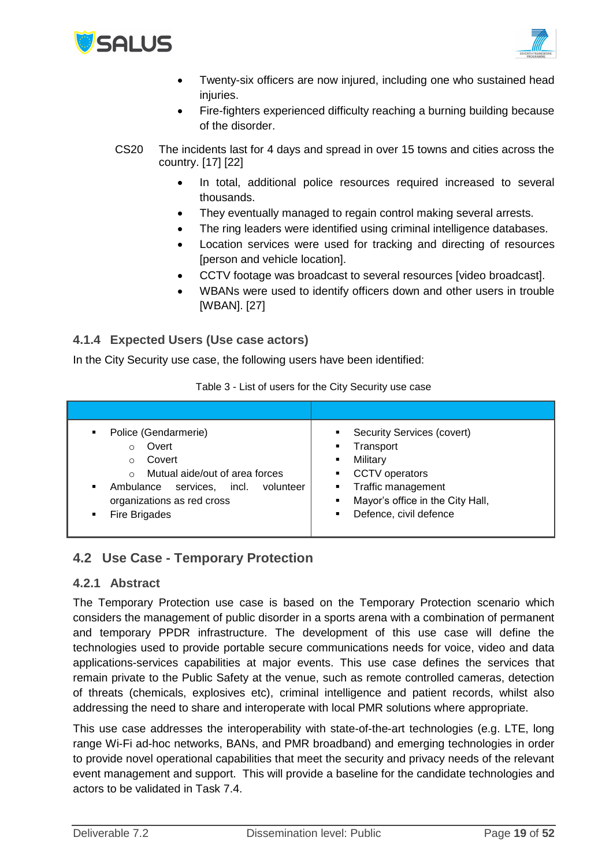



- Twenty-six officers are now injured, including one who sustained head injuries.
- Fire-fighters experienced difficulty reaching a burning building because of the disorder.
- CS20 The incidents last for 4 days and spread in over 15 towns and cities across the country. [17] [22]
	- In total, additional police resources required increased to several thousands.
	- They eventually managed to regain control making several arrests.
	- The ring leaders were identified using criminal intelligence databases.
	- Location services were used for tracking and directing of resources [person and vehicle location].
	- CCTV footage was broadcast to several resources [video broadcast].
	- WBANs were used to identify officers down and other users in trouble [WBAN]. [27]

### <span id="page-18-0"></span>**4.1.4 Expected Users (Use case actors)**

In the City Security use case, the following users have been identified:

| Police (Gendarmerie)<br>٠<br>Overt<br>$\circ$<br>Covert<br>$\circ$<br>Mutual aide/out of area forces<br>$\circ$<br>Ambulance services, incl.<br>volunteer<br>٠<br>organizations as red cross<br>Fire Brigades<br>٠ | Security Services (covert)<br>Transport<br>Military<br>٠<br><b>CCTV</b> operators<br>Traffic management<br>п.<br>Mayor's office in the City Hall,<br>٠<br>Defence, civil defence |
|--------------------------------------------------------------------------------------------------------------------------------------------------------------------------------------------------------------------|----------------------------------------------------------------------------------------------------------------------------------------------------------------------------------|

Table 3 - List of users for the City Security use case

### <span id="page-18-1"></span>**4.2 Use Case - Temporary Protection**

#### <span id="page-18-2"></span>**4.2.1 Abstract**

The Temporary Protection use case is based on the Temporary Protection scenario which considers the management of public disorder in a sports arena with a combination of permanent and temporary PPDR infrastructure. The development of this use case will define the technologies used to provide portable secure communications needs for voice, video and data applications-services capabilities at major events. This use case defines the services that remain private to the Public Safety at the venue, such as remote controlled cameras, detection of threats (chemicals, explosives etc), criminal intelligence and patient records, whilst also addressing the need to share and interoperate with local PMR solutions where appropriate.

This use case addresses the interoperability with state-of-the-art technologies (e.g. LTE, long range Wi-Fi ad-hoc networks, BANs, and PMR broadband) and emerging technologies in order to provide novel operational capabilities that meet the security and privacy needs of the relevant event management and support. This will provide a baseline for the candidate technologies and actors to be validated in Task 7.4.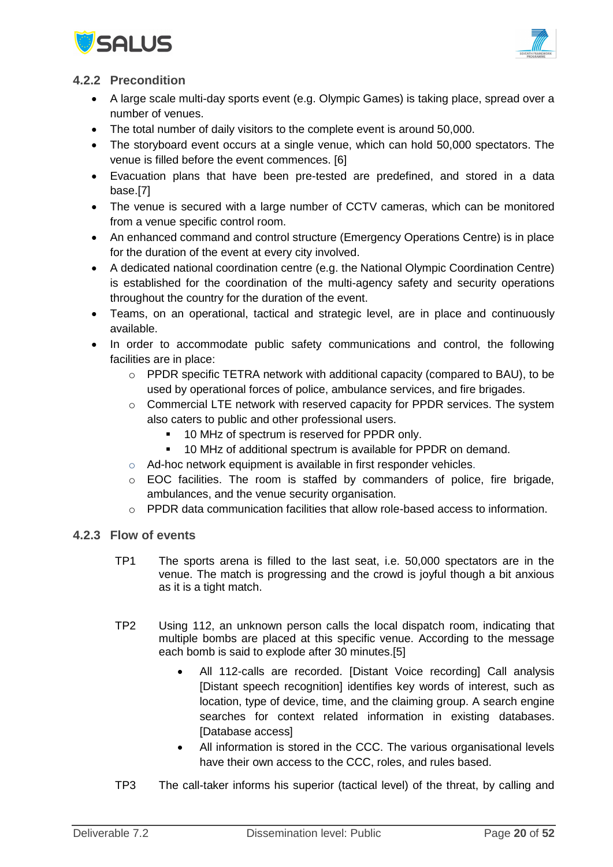



### <span id="page-19-0"></span>**4.2.2 Precondition**

- A large scale multi-day sports event (e.g. Olympic Games) is taking place, spread over a number of venues.
- The total number of daily visitors to the complete event is around 50,000.
- The storyboard event occurs at a single venue, which can hold 50,000 spectators. The venue is filled before the event commences. [6]
- Evacuation plans that have been pre-tested are predefined, and stored in a data base.[7]
- The venue is secured with a large number of CCTV cameras, which can be monitored from a venue specific control room.
- An enhanced command and control structure (Emergency Operations Centre) is in place for the duration of the event at every city involved.
- A dedicated national coordination centre (e.g. the National Olympic Coordination Centre) is established for the coordination of the multi-agency safety and security operations throughout the country for the duration of the event.
- Teams, on an operational, tactical and strategic level, are in place and continuously available.
- In order to accommodate public safety communications and control, the following facilities are in place:
	- o PPDR specific TETRA network with additional capacity (compared to BAU), to be used by operational forces of police, ambulance services, and fire brigades.
	- o Commercial LTE network with reserved capacity for PPDR services. The system also caters to public and other professional users.
		- 10 MHz of spectrum is reserved for PPDR only.
		- 10 MHz of additional spectrum is available for PPDR on demand.
	- o Ad-hoc network equipment is available in first responder vehicles.
	- $\circ$  EOC facilities. The room is staffed by commanders of police, fire brigade, ambulances, and the venue security organisation.
	- $\circ$  PPDR data communication facilities that allow role-based access to information.

#### <span id="page-19-1"></span>**4.2.3 Flow of events**

- TP1 The sports arena is filled to the last seat, i.e. 50,000 spectators are in the venue. The match is progressing and the crowd is joyful though a bit anxious as it is a tight match.
- TP2 Using 112, an unknown person calls the local dispatch room, indicating that multiple bombs are placed at this specific venue. According to the message each bomb is said to explode after 30 minutes.[5]
	- All 112-calls are recorded. [Distant Voice recording] Call analysis [Distant speech recognition] identifies key words of interest, such as location, type of device, time, and the claiming group. A search engine searches for context related information in existing databases. [Database access]
	- All information is stored in the CCC. The various organisational levels have their own access to the CCC, roles, and rules based.
- TP3 The call-taker informs his superior (tactical level) of the threat, by calling and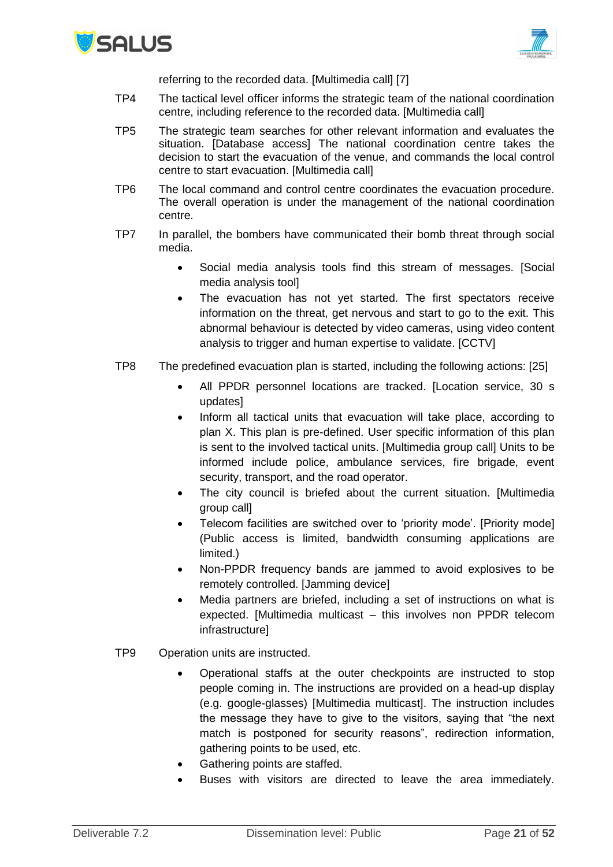



referring to the recorded data. [Multimedia call] [7]

- TP4 The tactical level officer informs the strategic team of the national coordination centre, including reference to the recorded data. [Multimedia call]
- TP5 The strategic team searches for other relevant information and evaluates the situation. [Database access] The national coordination centre takes the decision to start the evacuation of the venue, and commands the local control centre to start evacuation. [Multimedia call]
- TP6 The local command and control centre coordinates the evacuation procedure. The overall operation is under the management of the national coordination centre.
- TP7 In parallel, the bombers have communicated their bomb threat through social media.
	- Social media analysis tools find this stream of messages. [Social media analysis tool]
	- The evacuation has not yet started. The first spectators receive information on the threat, get nervous and start to go to the exit. This abnormal behaviour is detected by video cameras, using video content analysis to trigger and human expertise to validate. [CCTV]
- TP8 The predefined evacuation plan is started, including the following actions: [25]
	- All PPDR personnel locations are tracked. [Location service, 30 s updates]
	- Inform all tactical units that evacuation will take place, according to plan X. This plan is pre-defined. User specific information of this plan is sent to the involved tactical units. [Multimedia group call] Units to be informed include police, ambulance services, fire brigade, event security, transport, and the road operator.
	- The city council is briefed about the current situation. [Multimedia group call]
	- Telecom facilities are switched over to 'priority mode'. [Priority mode] (Public access is limited, bandwidth consuming applications are limited.)
	- Non-PPDR frequency bands are jammed to avoid explosives to be remotely controlled. [Jamming device]
	- Media partners are briefed, including a set of instructions on what is expected. [Multimedia multicast – this involves non PPDR telecom infrastructure]
- TP9 Operation units are instructed.
	- Operational staffs at the outer checkpoints are instructed to stop people coming in. The instructions are provided on a head-up display (e.g. google-glasses) [Multimedia multicast]. The instruction includes the message they have to give to the visitors, saying that "the next match is postponed for security reasons", redirection information, gathering points to be used, etc.
	- Gathering points are staffed.
	- Buses with visitors are directed to leave the area immediately.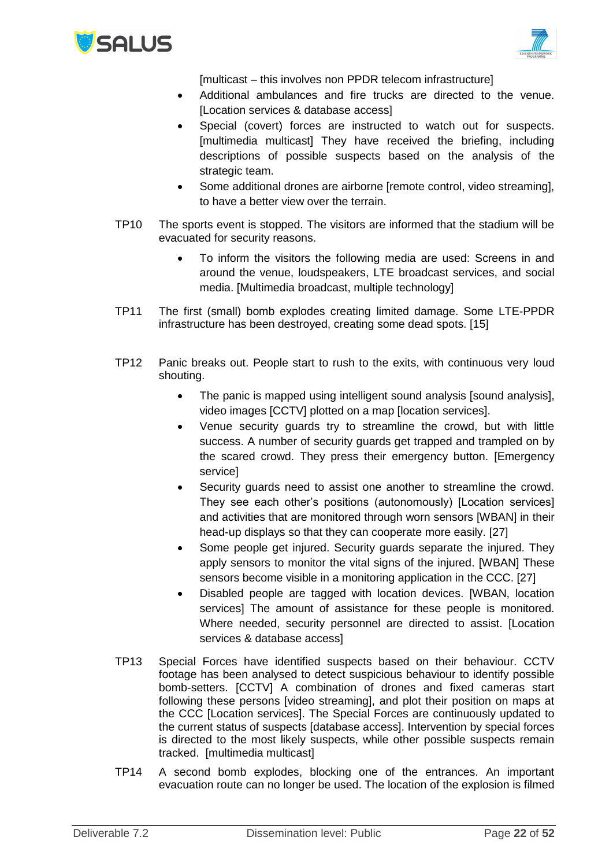



[multicast – this involves non PPDR telecom infrastructure]

- Additional ambulances and fire trucks are directed to the venue. [Location services & database access]
- Special (covert) forces are instructed to watch out for suspects. [multimedia multicast] They have received the briefing, including descriptions of possible suspects based on the analysis of the strategic team.
- Some additional drones are airborne [remote control, video streaming], to have a better view over the terrain.
- TP10 The sports event is stopped. The visitors are informed that the stadium will be evacuated for security reasons.
	- To inform the visitors the following media are used: Screens in and around the venue, loudspeakers, LTE broadcast services, and social media. [Multimedia broadcast, multiple technology]
- TP11 The first (small) bomb explodes creating limited damage. Some LTE-PPDR infrastructure has been destroyed, creating some dead spots. [15]
- TP12 Panic breaks out. People start to rush to the exits, with continuous very loud shouting.
	- The panic is mapped using intelligent sound analysis [sound analysis], video images [CCTV] plotted on a map [location services].
	- Venue security guards try to streamline the crowd, but with little success. A number of security guards get trapped and trampled on by the scared crowd. They press their emergency button. [Emergency service]
	- Security guards need to assist one another to streamline the crowd. They see each other's positions (autonomously) [Location services] and activities that are monitored through worn sensors [WBAN] in their head-up displays so that they can cooperate more easily. [27]
	- Some people get injured. Security guards separate the injured. They apply sensors to monitor the vital signs of the injured. [WBAN] These sensors become visible in a monitoring application in the CCC. [27]
	- Disabled people are tagged with location devices. [WBAN, location services] The amount of assistance for these people is monitored. Where needed, security personnel are directed to assist. [Location services & database access]
- TP13 Special Forces have identified suspects based on their behaviour. CCTV footage has been analysed to detect suspicious behaviour to identify possible bomb-setters. [CCTV] A combination of drones and fixed cameras start following these persons [video streaming], and plot their position on maps at the CCC [Location services]. The Special Forces are continuously updated to the current status of suspects [database access]. Intervention by special forces is directed to the most likely suspects, while other possible suspects remain tracked. [multimedia multicast]
- TP14 A second bomb explodes, blocking one of the entrances. An important evacuation route can no longer be used. The location of the explosion is filmed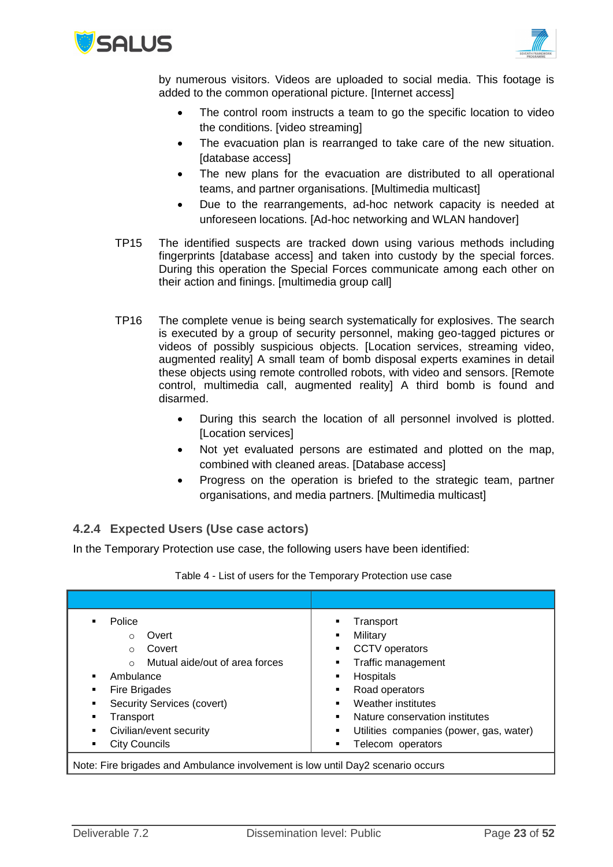



by numerous visitors. Videos are uploaded to social media. This footage is added to the common operational picture. [Internet access]

- The control room instructs a team to go the specific location to video the conditions. [video streaming]
- The evacuation plan is rearranged to take care of the new situation. [database access]
- The new plans for the evacuation are distributed to all operational teams, and partner organisations. [Multimedia multicast]
- Due to the rearrangements, ad-hoc network capacity is needed at unforeseen locations. [Ad-hoc networking and WLAN handover]
- TP15 The identified suspects are tracked down using various methods including fingerprints [database access] and taken into custody by the special forces. During this operation the Special Forces communicate among each other on their action and finings. [multimedia group call]
- TP16 The complete venue is being search systematically for explosives. The search is executed by a group of security personnel, making geo-tagged pictures or videos of possibly suspicious objects. [Location services, streaming video, augmented reality] A small team of bomb disposal experts examines in detail these objects using remote controlled robots, with video and sensors. [Remote control, multimedia call, augmented reality] A third bomb is found and disarmed.
	- During this search the location of all personnel involved is plotted. [Location services]
	- Not yet evaluated persons are estimated and plotted on the map, combined with cleaned areas. [Database access]
	- Progress on the operation is briefed to the strategic team, partner organisations, and media partners. [Multimedia multicast]

### <span id="page-22-0"></span>**4.2.4 Expected Users (Use case actors)**

In the Temporary Protection use case, the following users have been identified:

| Police                                                                           | Transport                               |
|----------------------------------------------------------------------------------|-----------------------------------------|
| Overt                                                                            | Military                                |
| $\Omega$                                                                         |                                         |
| Covert                                                                           | CCTV operators                          |
| $\circ$                                                                          | ٠                                       |
| Mutual aide/out of area forces                                                   | Traffic management                      |
| $\Omega$                                                                         | ٠                                       |
| Ambulance                                                                        | Hospitals                               |
|                                                                                  | ٠                                       |
| Fire Brigades                                                                    | Road operators                          |
| ٠                                                                                | ٠                                       |
| Security Services (covert)                                                       | Weather institutes                      |
| ٠                                                                                |                                         |
| Transport                                                                        | Nature conservation institutes          |
| ٠                                                                                |                                         |
| Civilian/event security                                                          | Utilities companies (power, gas, water) |
| ٠                                                                                | ٠                                       |
| City Councils                                                                    | Telecom operators                       |
| ٠                                                                                | ٠                                       |
| Alata Fire brigades and Ambulence involvement is low until Dou? coopering convre |                                         |

#### Table 4 - List of users for the Temporary Protection use case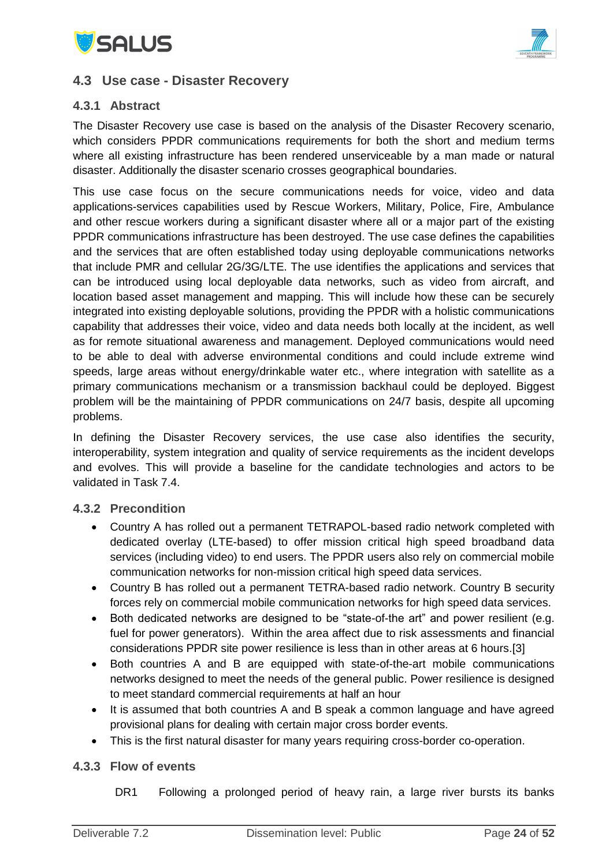



### <span id="page-23-0"></span>**4.3 Use case - Disaster Recovery**

### <span id="page-23-1"></span>**4.3.1 Abstract**

The Disaster Recovery use case is based on the analysis of the Disaster Recovery scenario, which considers PPDR communications requirements for both the short and medium terms where all existing infrastructure has been rendered unserviceable by a man made or natural disaster. Additionally the disaster scenario crosses geographical boundaries.

This use case focus on the secure communications needs for voice, video and data applications-services capabilities used by Rescue Workers, Military, Police, Fire, Ambulance and other rescue workers during a significant disaster where all or a major part of the existing PPDR communications infrastructure has been destroyed. The use case defines the capabilities and the services that are often established today using deployable communications networks that include PMR and cellular 2G/3G/LTE. The use identifies the applications and services that can be introduced using local deployable data networks, such as video from aircraft, and location based asset management and mapping. This will include how these can be securely integrated into existing deployable solutions, providing the PPDR with a holistic communications capability that addresses their voice, video and data needs both locally at the incident, as well as for remote situational awareness and management. Deployed communications would need to be able to deal with adverse environmental conditions and could include extreme wind speeds, large areas without energy/drinkable water etc., where integration with satellite as a primary communications mechanism or a transmission backhaul could be deployed. Biggest problem will be the maintaining of PPDR communications on 24/7 basis, despite all upcoming problems.

In defining the Disaster Recovery services, the use case also identifies the security, interoperability, system integration and quality of service requirements as the incident develops and evolves. This will provide a baseline for the candidate technologies and actors to be validated in Task 7.4.

#### <span id="page-23-2"></span>**4.3.2 Precondition**

- Country A has rolled out a permanent TETRAPOL-based radio network completed with dedicated overlay (LTE-based) to offer mission critical high speed broadband data services (including video) to end users. The PPDR users also rely on commercial mobile communication networks for non-mission critical high speed data services.
- Country B has rolled out a permanent TETRA-based radio network. Country B security forces rely on commercial mobile communication networks for high speed data services.
- Both dedicated networks are designed to be "state-of-the art" and power resilient (e.g. fuel for power generators). Within the area affect due to risk assessments and financial considerations PPDR site power resilience is less than in other areas at 6 hours.[3]
- Both countries A and B are equipped with state-of-the-art mobile communications networks designed to meet the needs of the general public. Power resilience is designed to meet standard commercial requirements at half an hour
- It is assumed that both countries A and B speak a common language and have agreed provisional plans for dealing with certain major cross border events.
- This is the first natural disaster for many years requiring cross-border co-operation.

#### <span id="page-23-3"></span>**4.3.3 Flow of events**

DR1 Following a prolonged period of heavy rain, a large river bursts its banks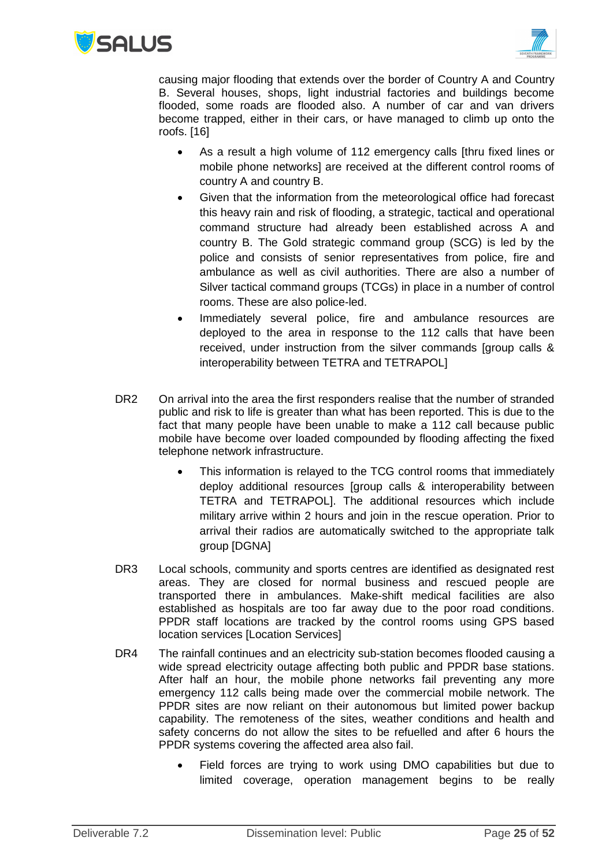



causing major flooding that extends over the border of Country A and Country B. Several houses, shops, light industrial factories and buildings become flooded, some roads are flooded also. A number of car and van drivers become trapped, either in their cars, or have managed to climb up onto the roofs. [16]

- As a result a high volume of 112 emergency calls [thru fixed lines or mobile phone networks] are received at the different control rooms of country A and country B.
- Given that the information from the meteorological office had forecast this heavy rain and risk of flooding, a strategic, tactical and operational command structure had already been established across A and country B. The Gold strategic command group (SCG) is led by the police and consists of senior representatives from police, fire and ambulance as well as civil authorities. There are also a number of Silver tactical command groups (TCGs) in place in a number of control rooms. These are also police-led.
- Immediately several police, fire and ambulance resources are deployed to the area in response to the 112 calls that have been received, under instruction from the silver commands [group calls & interoperability between TETRA and TETRAPOL]
- DR2 On arrival into the area the first responders realise that the number of stranded public and risk to life is greater than what has been reported. This is due to the fact that many people have been unable to make a 112 call because public mobile have become over loaded compounded by flooding affecting the fixed telephone network infrastructure.
	- This information is relayed to the TCG control rooms that immediately deploy additional resources [group calls & interoperability between TETRA and TETRAPOL]. The additional resources which include military arrive within 2 hours and join in the rescue operation. Prior to arrival their radios are automatically switched to the appropriate talk group [DGNA]
- DR3 Local schools, community and sports centres are identified as designated rest areas. They are closed for normal business and rescued people are transported there in ambulances. Make-shift medical facilities are also established as hospitals are too far away due to the poor road conditions. PPDR staff locations are tracked by the control rooms using GPS based location services [Location Services]
- DR4 The rainfall continues and an electricity sub-station becomes flooded causing a wide spread electricity outage affecting both public and PPDR base stations. After half an hour, the mobile phone networks fail preventing any more emergency 112 calls being made over the commercial mobile network. The PPDR sites are now reliant on their autonomous but limited power backup capability. The remoteness of the sites, weather conditions and health and safety concerns do not allow the sites to be refuelled and after 6 hours the PPDR systems covering the affected area also fail.
	- Field forces are trying to work using DMO capabilities but due to limited coverage, operation management begins to be really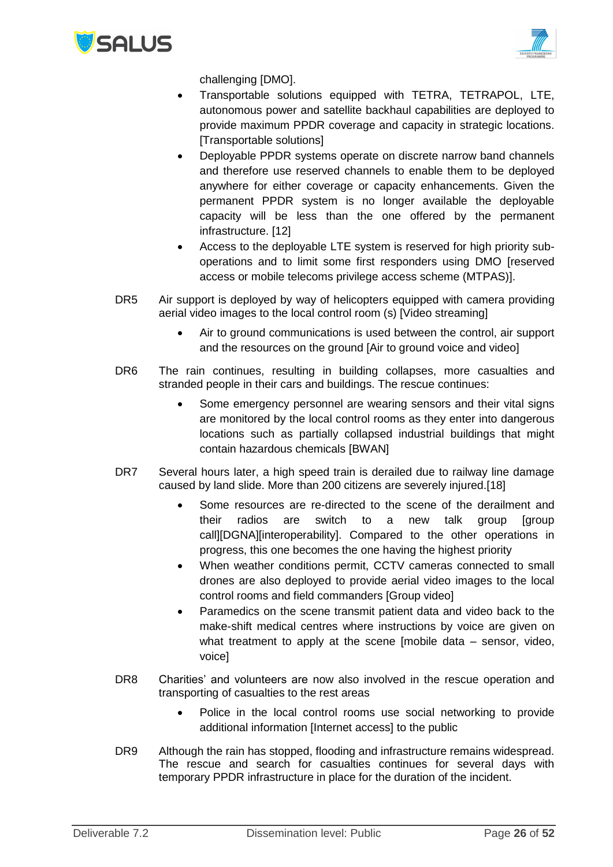



challenging [DMO].

- Transportable solutions equipped with TETRA, TETRAPOL, LTE, autonomous power and satellite backhaul capabilities are deployed to provide maximum PPDR coverage and capacity in strategic locations. [Transportable solutions]
- Deployable PPDR systems operate on discrete narrow band channels and therefore use reserved channels to enable them to be deployed anywhere for either coverage or capacity enhancements. Given the permanent PPDR system is no longer available the deployable capacity will be less than the one offered by the permanent infrastructure. [12]
- Access to the deployable LTE system is reserved for high priority suboperations and to limit some first responders using DMO [reserved access or mobile telecoms privilege access scheme (MTPAS)].
- DR5 Air support is deployed by way of helicopters equipped with camera providing aerial video images to the local control room (s) [Video streaming]
	- Air to ground communications is used between the control, air support and the resources on the ground [Air to ground voice and video]
- DR6 The rain continues, resulting in building collapses, more casualties and stranded people in their cars and buildings. The rescue continues:
	- Some emergency personnel are wearing sensors and their vital signs are monitored by the local control rooms as they enter into dangerous locations such as partially collapsed industrial buildings that might contain hazardous chemicals [BWAN]
- DR7 Several hours later, a high speed train is derailed due to railway line damage caused by land slide. More than 200 citizens are severely injured.[18]
	- Some resources are re-directed to the scene of the derailment and their radios are switch to a new talk group [group call][DGNA][interoperability]. Compared to the other operations in progress, this one becomes the one having the highest priority
	- When weather conditions permit, CCTV cameras connected to small drones are also deployed to provide aerial video images to the local control rooms and field commanders [Group video]
	- Paramedics on the scene transmit patient data and video back to the make-shift medical centres where instructions by voice are given on what treatment to apply at the scene [mobile data – sensor, video, voice]
- DR8 Charities' and volunteers are now also involved in the rescue operation and transporting of casualties to the rest areas
	- Police in the local control rooms use social networking to provide additional information [Internet access] to the public
- DR9 Although the rain has stopped, flooding and infrastructure remains widespread. The rescue and search for casualties continues for several days with temporary PPDR infrastructure in place for the duration of the incident.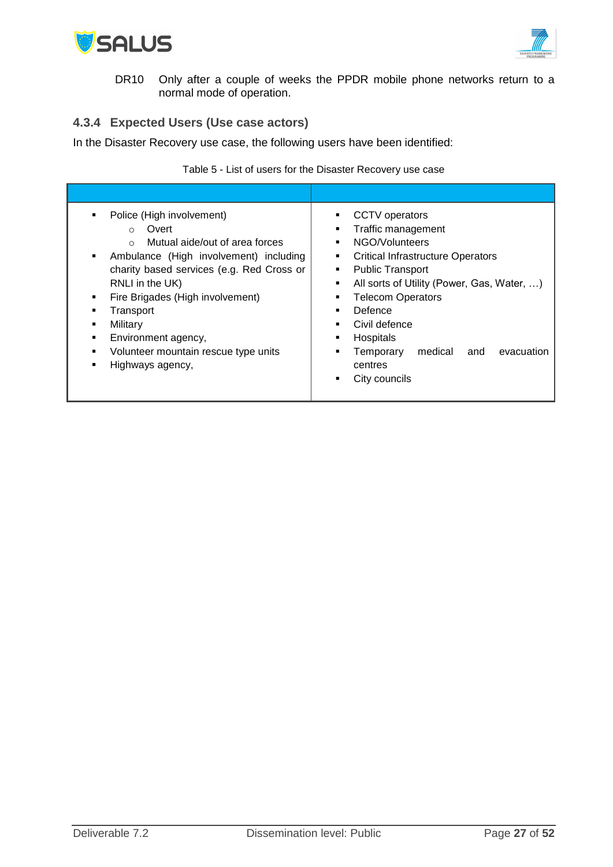



DR10 Only after a couple of weeks the PPDR mobile phone networks return to a normal mode of operation.

### <span id="page-26-0"></span>**4.3.4 Expected Users (Use case actors)**

In the Disaster Recovery use case, the following users have been identified:

|                                                                                                                                                                                                                                                                                                                                                                                         | Table 5 - List of users for the Disaster Recovery use case                                                                                                                                                                                                                                                                                                                       |
|-----------------------------------------------------------------------------------------------------------------------------------------------------------------------------------------------------------------------------------------------------------------------------------------------------------------------------------------------------------------------------------------|----------------------------------------------------------------------------------------------------------------------------------------------------------------------------------------------------------------------------------------------------------------------------------------------------------------------------------------------------------------------------------|
|                                                                                                                                                                                                                                                                                                                                                                                         |                                                                                                                                                                                                                                                                                                                                                                                  |
| Police (High involvement)<br>٠<br>Overt<br>$\circ$<br>Mutual aide/out of area forces<br>$\circ$<br>Ambulance (High involvement) including<br>٠<br>charity based services (e.g. Red Cross or<br>RNLI in the UK)<br>Fire Brigades (High involvement)<br>٠<br>Transport<br>Military<br>٠<br>Environment agency,<br>٠<br>Volunteer mountain rescue type units<br>٠<br>Highways agency,<br>٠ | CCTV operators<br>٠<br>Traffic management<br>٠<br>NGO/Volunteers<br>٠<br><b>Critical Infrastructure Operators</b><br>٠<br><b>Public Transport</b><br>٠<br>All sorts of Utility (Power, Gas, Water, )<br>٠<br><b>Telecom Operators</b><br>٠<br>Defence<br>Civil defence<br>٠<br>Hospitals<br>٠<br>evacuation<br>Temporary<br>medical<br>and<br>٠<br>centres<br>City councils<br>٠ |

Table 5 - List of users for the Disaster Recovery use case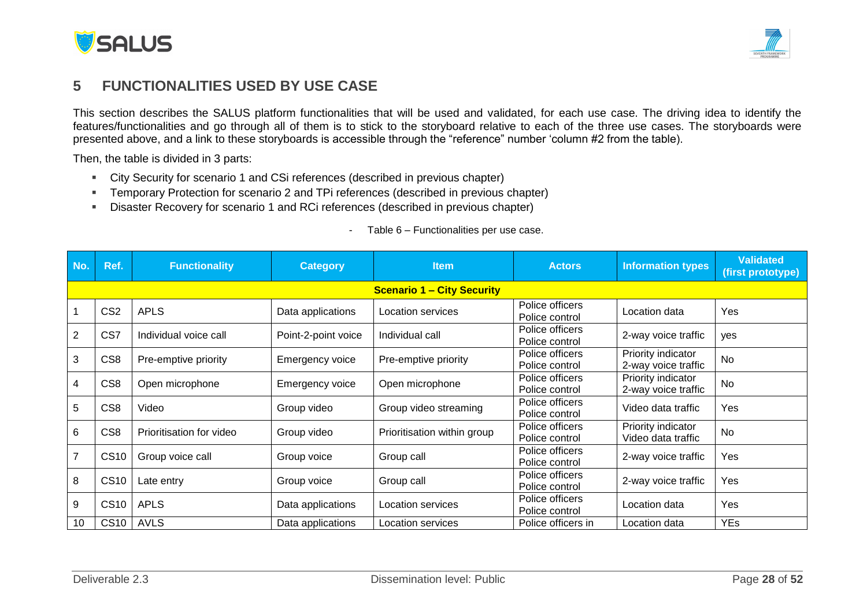



## **5 FUNCTIONALITIES USED BY USE CASE**

This section describes the SALUS platform functionalities that will be used and validated, for each use case. The driving idea to identify the features/functionalities and go through all of them is to stick to the storyboard relative to each of the three use cases. The storyboards were presented above, and a link to these storyboards is accessible through the "reference" number 'column #2 from the table).

Then, the table is divided in 3 parts:

- City Security for scenario 1 and CSi references (described in previous chapter)
- Temporary Protection for scenario 2 and TPi references (described in previous chapter)
- Disaster Recovery for scenario 1 and RCi references (described in previous chapter)

<span id="page-27-0"></span>

| No. | Ref.            | <b>Functionality</b>     | <b>Category</b>     | <b>Item</b>                       | <b>Actors</b>                     | <b>Information types</b>                  | <b>Validated</b><br>(first prototype) |
|-----|-----------------|--------------------------|---------------------|-----------------------------------|-----------------------------------|-------------------------------------------|---------------------------------------|
|     |                 |                          |                     | <b>Scenario 1 - City Security</b> |                                   |                                           |                                       |
|     | CS <sub>2</sub> | <b>APLS</b>              | Data applications   | Location services                 | Police officers<br>Police control | Location data                             | Yes                                   |
| 2   | CS7             | Individual voice call    | Point-2-point voice | Individual call                   | Police officers<br>Police control | 2-way voice traffic                       | yes                                   |
| 3   | CS <sub>8</sub> | Pre-emptive priority     | Emergency voice     | Pre-emptive priority              | Police officers<br>Police control | Priority indicator<br>2-way voice traffic | No                                    |
| 4   | CS <sub>8</sub> | Open microphone          | Emergency voice     | Open microphone                   | Police officers<br>Police control | Priority indicator<br>2-way voice traffic | No                                    |
| 5   | CS <sub>8</sub> | Video                    | Group video         | Group video streaming             | Police officers<br>Police control | Video data traffic                        | Yes                                   |
| 6   | CS <sub>8</sub> | Prioritisation for video | Group video         | Prioritisation within group       | Police officers<br>Police control | Priority indicator<br>Video data traffic  | <b>No</b>                             |
|     | <b>CS10</b>     | Group voice call         | Group voice         | Group call                        | Police officers<br>Police control | 2-way voice traffic                       | Yes                                   |
| 8   | <b>CS10</b>     | Late entry               | Group voice         | Group call                        | Police officers<br>Police control | 2-way voice traffic                       | Yes                                   |
| 9   | <b>CS10</b>     | <b>APLS</b>              | Data applications   | Location services                 | Police officers<br>Police control | Location data                             | Yes                                   |
| 10  | <b>CS10</b>     | <b>AVLS</b>              | Data applications   | Location services                 | Police officers in                | Location data                             | <b>YEs</b>                            |

#### - Table 6 – Functionalities per use case.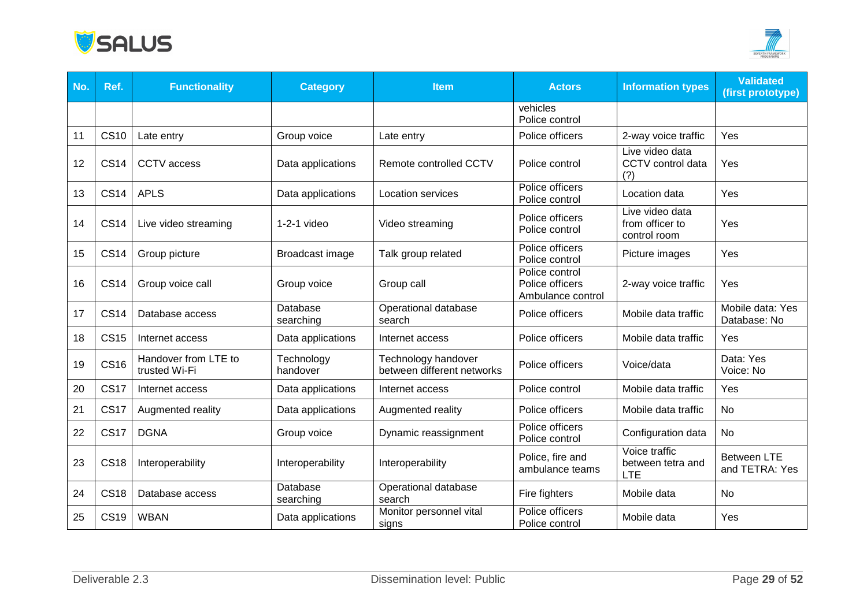



| No. | Ref.        | <b>Functionality</b>                  | <b>Category</b>        | <b>Item</b>                                       | <b>Actors</b>                                          | <b>Information types</b>                           | <b>Validated</b><br>(first prototype) |
|-----|-------------|---------------------------------------|------------------------|---------------------------------------------------|--------------------------------------------------------|----------------------------------------------------|---------------------------------------|
|     |             |                                       |                        |                                                   | vehicles<br>Police control                             |                                                    |                                       |
| 11  | <b>CS10</b> | Late entry                            | Group voice            | Late entry                                        | Police officers                                        | 2-way voice traffic                                | Yes                                   |
| 12  | <b>CS14</b> | <b>CCTV</b> access                    | Data applications      | Remote controlled CCTV                            | Police control                                         | Live video data<br>CCTV control data<br>(?)        | Yes                                   |
| 13  | <b>CS14</b> | <b>APLS</b>                           | Data applications      | <b>Location services</b>                          | Police officers<br>Police control                      | Location data                                      | Yes                                   |
| 14  | <b>CS14</b> | Live video streaming                  | $1-2-1$ video          | Video streaming                                   | Police officers<br>Police control                      | Live video data<br>from officer to<br>control room | Yes                                   |
| 15  | <b>CS14</b> | Group picture                         | Broadcast image        | Talk group related                                | Police officers<br>Police control                      | Picture images                                     | Yes                                   |
| 16  | <b>CS14</b> | Group voice call                      | Group voice            | Group call                                        | Police control<br>Police officers<br>Ambulance control | 2-way voice traffic                                | Yes                                   |
| 17  | <b>CS14</b> | Database access                       | Database<br>searching  | Operational database<br>search                    | Police officers                                        | Mobile data traffic                                | Mobile data: Yes<br>Database: No      |
| 18  | <b>CS15</b> | Internet access                       | Data applications      | Internet access                                   | Police officers                                        | Mobile data traffic                                | Yes                                   |
| 19  | <b>CS16</b> | Handover from LTE to<br>trusted Wi-Fi | Technology<br>handover | Technology handover<br>between different networks | Police officers                                        | Voice/data                                         | Data: Yes<br>Voice: No                |
| 20  | <b>CS17</b> | Internet access                       | Data applications      | Internet access                                   | Police control                                         | Mobile data traffic                                | Yes                                   |
| 21  | <b>CS17</b> | Augmented reality                     | Data applications      | Augmented reality                                 | Police officers                                        | Mobile data traffic                                | <b>No</b>                             |
| 22  | <b>CS17</b> | <b>DGNA</b>                           | Group voice            | Dynamic reassignment                              | Police officers<br>Police control                      | Configuration data                                 | No                                    |
| 23  | <b>CS18</b> | Interoperability                      | Interoperability       | Interoperability                                  | Police, fire and<br>ambulance teams                    | Voice traffic<br>between tetra and<br><b>LTE</b>   | <b>Between LTE</b><br>and TETRA: Yes  |
| 24  | <b>CS18</b> | Database access                       | Database<br>searching  | Operational database<br>search                    | Fire fighters                                          | Mobile data                                        | <b>No</b>                             |
| 25  | <b>CS19</b> | <b>WBAN</b>                           | Data applications      | Monitor personnel vital<br>signs                  | Police officers<br>Police control                      | Mobile data                                        | Yes                                   |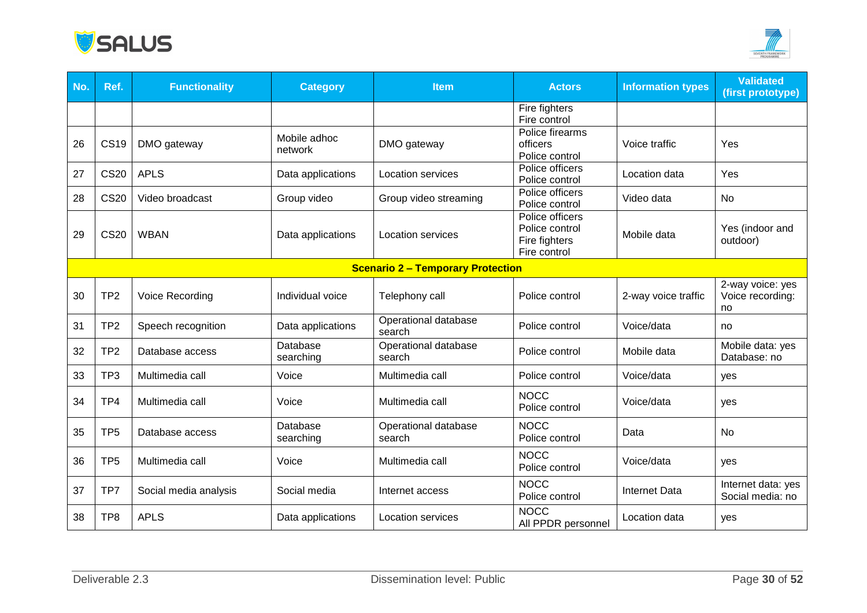



| No. | Ref.            | <b>Functionality</b>  | <b>Category</b>         | <b>Item</b>                              | <b>Actors</b>                                                      | <b>Information types</b> | <b>Validated</b><br>(first prototype)      |
|-----|-----------------|-----------------------|-------------------------|------------------------------------------|--------------------------------------------------------------------|--------------------------|--------------------------------------------|
|     |                 |                       |                         |                                          | Fire fighters<br>Fire control                                      |                          |                                            |
| 26  | <b>CS19</b>     | DMO gateway           | Mobile adhoc<br>network | DMO gateway                              | Police firearms<br>officers<br>Police control                      | Voice traffic            | Yes                                        |
| 27  | <b>CS20</b>     | <b>APLS</b>           | Data applications       | <b>Location services</b>                 | Police officers<br>Police control                                  | Location data            | Yes                                        |
| 28  | <b>CS20</b>     | Video broadcast       | Group video             | Group video streaming                    | Police officers<br>Police control                                  | Video data               | No                                         |
| 29  | <b>CS20</b>     | <b>WBAN</b>           | Data applications       | <b>Location services</b>                 | Police officers<br>Police control<br>Fire fighters<br>Fire control | Mobile data              | Yes (indoor and<br>outdoor)                |
|     |                 |                       |                         | <b>Scenario 2 - Temporary Protection</b> |                                                                    |                          |                                            |
| 30  | TP <sub>2</sub> | Voice Recording       | Individual voice        | Telephony call                           | Police control                                                     | 2-way voice traffic      | 2-way voice: yes<br>Voice recording:<br>no |
| 31  | TP <sub>2</sub> | Speech recognition    | Data applications       | Operational database<br>search           | Police control                                                     | Voice/data               | no                                         |
| 32  | TP <sub>2</sub> | Database access       | Database<br>searching   | Operational database<br>search           | Police control                                                     | Mobile data              | Mobile data: yes<br>Database: no           |
| 33  | TP <sub>3</sub> | Multimedia call       | Voice                   | Multimedia call                          | Police control                                                     | Voice/data               | yes                                        |
| 34  | TP4             | Multimedia call       | Voice                   | Multimedia call                          | <b>NOCC</b><br>Police control                                      | Voice/data               | yes                                        |
| 35  | TP <sub>5</sub> | Database access       | Database<br>searching   | Operational database<br>search           | <b>NOCC</b><br>Police control                                      | Data                     | <b>No</b>                                  |
| 36  | TP <sub>5</sub> | Multimedia call       | Voice                   | Multimedia call                          | <b>NOCC</b><br>Police control                                      | Voice/data               | yes                                        |
| 37  | TP7             | Social media analysis | Social media            | Internet access                          | <b>NOCC</b><br>Police control                                      | <b>Internet Data</b>     | Internet data: yes<br>Social media: no     |
| 38  | TP <sub>8</sub> | <b>APLS</b>           | Data applications       | <b>Location services</b>                 | <b>NOCC</b><br>All PPDR personnel                                  | Location data            | yes                                        |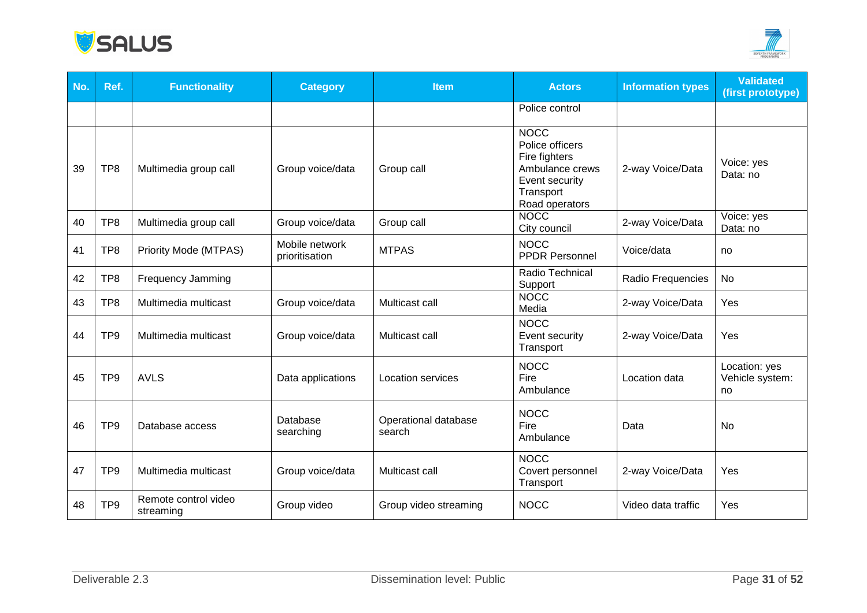



| No. | Ref.            | <b>Functionality</b>              | <b>Category</b>                  | <b>Item</b>                    | <b>Actors</b>                                                                                                       | <b>Information types</b> | <b>Validated</b><br>(first prototype)  |
|-----|-----------------|-----------------------------------|----------------------------------|--------------------------------|---------------------------------------------------------------------------------------------------------------------|--------------------------|----------------------------------------|
|     |                 |                                   |                                  |                                | Police control                                                                                                      |                          |                                        |
| 39  | TP8             | Multimedia group call             | Group voice/data                 | Group call                     | <b>NOCC</b><br>Police officers<br>Fire fighters<br>Ambulance crews<br>Event security<br>Transport<br>Road operators | 2-way Voice/Data         | Voice: yes<br>Data: no                 |
| 40  | TP8             | Multimedia group call             | Group voice/data                 | Group call                     | <b>NOCC</b><br>City council                                                                                         | 2-way Voice/Data         | Voice: yes<br>Data: no                 |
| 41  | TP8             | Priority Mode (MTPAS)             | Mobile network<br>prioritisation | <b>MTPAS</b>                   | <b>NOCC</b><br><b>PPDR Personnel</b>                                                                                | Voice/data               | no                                     |
| 42  | TP8             | <b>Frequency Jamming</b>          |                                  |                                | Radio Technical<br>Support                                                                                          | Radio Frequencies        | No                                     |
| 43  | TP <sub>8</sub> | Multimedia multicast              | Group voice/data                 | Multicast call                 | <b>NOCC</b><br>Media                                                                                                | 2-way Voice/Data         | Yes                                    |
| 44  | TP <sub>9</sub> | Multimedia multicast              | Group voice/data                 | Multicast call                 | <b>NOCC</b><br>Event security<br>Transport                                                                          | 2-way Voice/Data         | Yes                                    |
| 45  | TP <sub>9</sub> | <b>AVLS</b>                       | Data applications                | <b>Location services</b>       | <b>NOCC</b><br>Fire<br>Ambulance                                                                                    | Location data            | Location: yes<br>Vehicle system:<br>no |
| 46  | TP <sub>9</sub> | Database access                   | Database<br>searching            | Operational database<br>search | <b>NOCC</b><br>Fire<br>Ambulance                                                                                    | Data                     | No                                     |
| 47  | TP <sub>9</sub> | Multimedia multicast              | Group voice/data                 | Multicast call                 | <b>NOCC</b><br>Covert personnel<br>Transport                                                                        | 2-way Voice/Data         | Yes                                    |
| 48  | TP <sub>9</sub> | Remote control video<br>streaming | Group video                      | Group video streaming          | <b>NOCC</b>                                                                                                         | Video data traffic       | Yes                                    |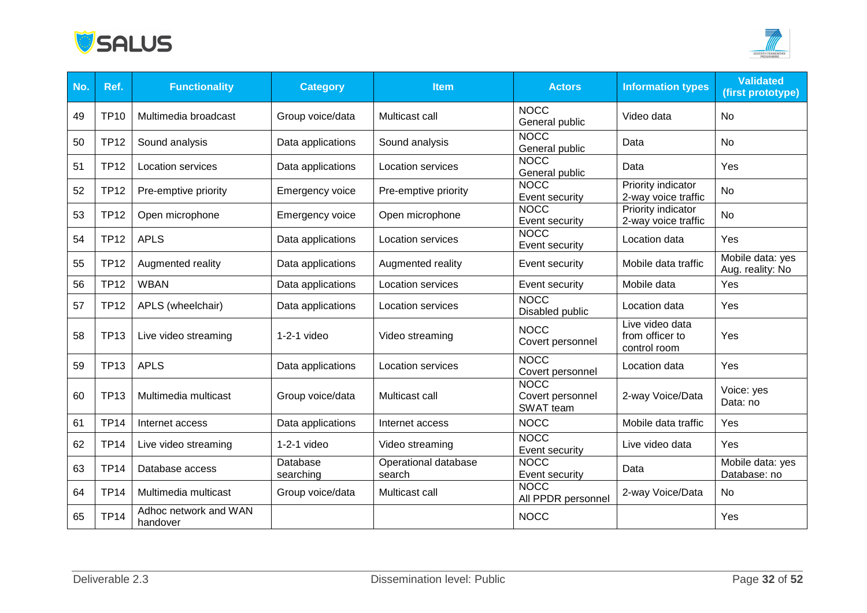



| No. | Ref.        | <b>Functionality</b>              | <b>Category</b>        | <b>Item</b>                    | <b>Actors</b>                                | <b>Information types</b>                           | <b>Validated</b><br>(first prototype) |
|-----|-------------|-----------------------------------|------------------------|--------------------------------|----------------------------------------------|----------------------------------------------------|---------------------------------------|
| 49  | <b>TP10</b> | Multimedia broadcast              | Group voice/data       | Multicast call                 | <b>NOCC</b><br>General public                | Video data                                         | No                                    |
| 50  | <b>TP12</b> | Sound analysis                    | Data applications      | Sound analysis                 | <b>NOCC</b><br>General public                | Data                                               | No                                    |
| 51  | <b>TP12</b> | Location services                 | Data applications      | Location services              | <b>NOCC</b><br>General public                | Data                                               | Yes                                   |
| 52  | <b>TP12</b> | Pre-emptive priority              | <b>Emergency voice</b> | Pre-emptive priority           | <b>NOCC</b><br>Event security                | Priority indicator<br>2-way voice traffic          | <b>No</b>                             |
| 53  | <b>TP12</b> | Open microphone                   | <b>Emergency voice</b> | Open microphone                | <b>NOCC</b><br>Event security                | Priority indicator<br>2-way voice traffic          | No                                    |
| 54  | <b>TP12</b> | <b>APLS</b>                       | Data applications      | <b>Location services</b>       | <b>NOCC</b><br>Event security                | Location data                                      | Yes                                   |
| 55  | <b>TP12</b> | Augmented reality                 | Data applications      | Augmented reality              | Event security                               | Mobile data traffic                                | Mobile data: yes<br>Aug. reality: No  |
| 56  | <b>TP12</b> | <b>WBAN</b>                       | Data applications      | <b>Location services</b>       | Event security                               | Mobile data                                        | Yes                                   |
| 57  | <b>TP12</b> | APLS (wheelchair)                 | Data applications      | Location services              | <b>NOCC</b><br>Disabled public               | Location data                                      | Yes                                   |
| 58  | <b>TP13</b> | Live video streaming              | $1-2-1$ video          | Video streaming                | <b>NOCC</b><br>Covert personnel              | Live video data<br>from officer to<br>control room | Yes                                   |
| 59  | <b>TP13</b> | <b>APLS</b>                       | Data applications      | Location services              | <b>NOCC</b><br>Covert personnel              | Location data                                      | Yes                                   |
| 60  | <b>TP13</b> | Multimedia multicast              | Group voice/data       | Multicast call                 | <b>NOCC</b><br>Covert personnel<br>SWAT team | 2-way Voice/Data                                   | Voice: yes<br>Data: no                |
| 61  | <b>TP14</b> | Internet access                   | Data applications      | Internet access                | <b>NOCC</b>                                  | Mobile data traffic                                | Yes                                   |
| 62  | <b>TP14</b> | Live video streaming              | $1-2-1$ video          | Video streaming                | <b>NOCC</b><br>Event security                | Live video data                                    | Yes                                   |
| 63  | <b>TP14</b> | Database access                   | Database<br>searching  | Operational database<br>search | <b>NOCC</b><br>Event security                | Data                                               | Mobile data: yes<br>Database: no      |
| 64  | <b>TP14</b> | Multimedia multicast              | Group voice/data       | Multicast call                 | <b>NOCC</b><br>All PPDR personnel            | 2-way Voice/Data                                   | No                                    |
| 65  | <b>TP14</b> | Adhoc network and WAN<br>handover |                        |                                | <b>NOCC</b>                                  |                                                    | Yes                                   |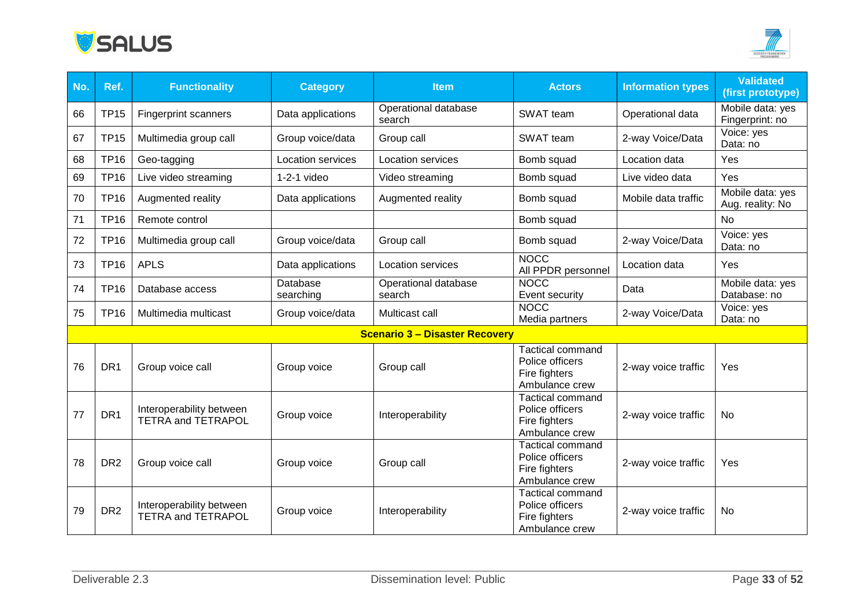



| No. | Ref.            | <b>Functionality</b>                                  | <b>Category</b>          | <b>Item</b>                           | <b>Actors</b>                                                                 | <b>Information types</b> | <b>Validated</b><br>(first prototype) |
|-----|-----------------|-------------------------------------------------------|--------------------------|---------------------------------------|-------------------------------------------------------------------------------|--------------------------|---------------------------------------|
| 66  | <b>TP15</b>     | <b>Fingerprint scanners</b>                           | Data applications        | Operational database<br>search        | SWAT team                                                                     | Operational data         | Mobile data: yes<br>Fingerprint: no   |
| 67  | <b>TP15</b>     | Multimedia group call                                 | Group voice/data         | Group call                            | SWAT team                                                                     | 2-way Voice/Data         | Voice: yes<br>Data: no                |
| 68  | <b>TP16</b>     | Geo-tagging                                           | <b>Location services</b> | Location services                     | Bomb squad                                                                    | Location data            | Yes                                   |
| 69  | <b>TP16</b>     | Live video streaming                                  | $1-2-1$ video            | Video streaming                       | Bomb squad                                                                    | Live video data          | Yes                                   |
| 70  | <b>TP16</b>     | Augmented reality                                     | Data applications        | Augmented reality                     | Bomb squad                                                                    | Mobile data traffic      | Mobile data: yes<br>Aug. reality: No  |
| 71  | <b>TP16</b>     | Remote control                                        |                          |                                       | Bomb squad                                                                    |                          | No                                    |
| 72  | <b>TP16</b>     | Multimedia group call                                 | Group voice/data         | Group call                            | Bomb squad                                                                    | 2-way Voice/Data         | Voice: yes<br>Data: no                |
| 73  | <b>TP16</b>     | <b>APLS</b>                                           | Data applications        | <b>Location services</b>              | <b>NOCC</b><br>All PPDR personnel                                             | Location data            | Yes                                   |
| 74  | <b>TP16</b>     | Database access                                       | Database<br>searching    | Operational database<br>search        | <b>NOCC</b><br>Event security                                                 | Data                     | Mobile data: yes<br>Database: no      |
| 75  | <b>TP16</b>     | Multimedia multicast                                  | Group voice/data         | Multicast call                        | <b>NOCC</b><br>Media partners                                                 | 2-way Voice/Data         | Voice: yes<br>Data: no                |
|     |                 |                                                       |                          | <b>Scenario 3 - Disaster Recovery</b> |                                                                               |                          |                                       |
| 76  | DR <sub>1</sub> | Group voice call                                      | Group voice              | Group call                            | <b>Tactical command</b><br>Police officers<br>Fire fighters<br>Ambulance crew | 2-way voice traffic      | Yes                                   |
| 77  | DR <sub>1</sub> | Interoperability between<br><b>TETRA and TETRAPOL</b> | Group voice              | Interoperability                      | <b>Tactical command</b><br>Police officers<br>Fire fighters<br>Ambulance crew | 2-way voice traffic      | <b>No</b>                             |
| 78  | DR <sub>2</sub> | Group voice call                                      | Group voice              | Group call                            | <b>Tactical command</b><br>Police officers<br>Fire fighters<br>Ambulance crew | 2-way voice traffic      | Yes                                   |
| 79  | DR <sub>2</sub> | Interoperability between<br><b>TETRA and TETRAPOL</b> | Group voice              | Interoperability                      | <b>Tactical command</b><br>Police officers<br>Fire fighters<br>Ambulance crew | 2-way voice traffic      | No                                    |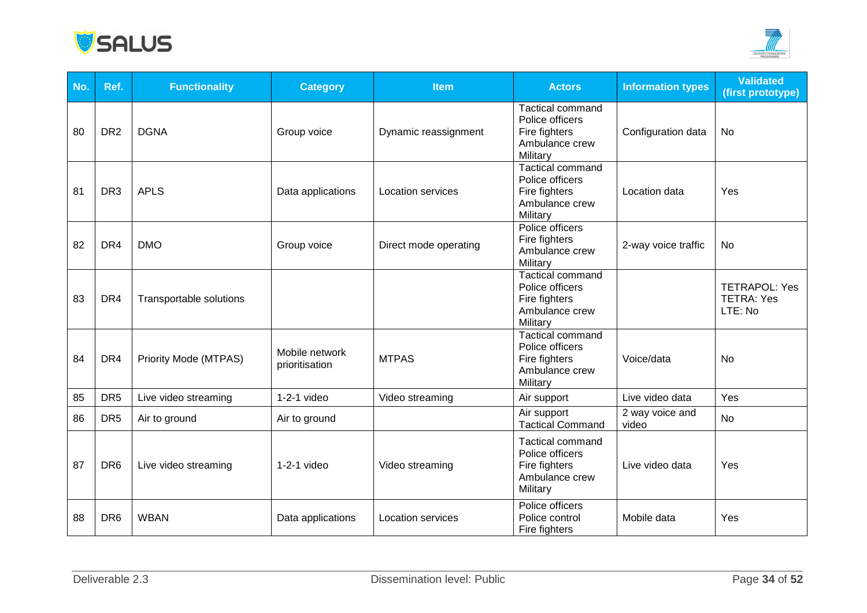



| No. | Ref.            | <b>Functionality</b>    | <b>Category</b>                  | <b>Item</b>              | <b>Actors</b>                                                                             | <b>Information types</b> | <b>Validated</b><br>(first prototype)                |
|-----|-----------------|-------------------------|----------------------------------|--------------------------|-------------------------------------------------------------------------------------------|--------------------------|------------------------------------------------------|
| 80  | DR <sub>2</sub> | <b>DGNA</b>             | Group voice                      | Dynamic reassignment     | <b>Tactical command</b><br>Police officers<br>Fire fighters<br>Ambulance crew<br>Military | Configuration data       | No                                                   |
| 81  | DR <sub>3</sub> | <b>APLS</b>             | Data applications                | <b>Location services</b> | <b>Tactical command</b><br>Police officers<br>Fire fighters<br>Ambulance crew<br>Military | Location data            | Yes                                                  |
| 82  | DR4             | <b>DMO</b>              | Group voice                      | Direct mode operating    | Police officers<br>Fire fighters<br>Ambulance crew<br>Military                            | 2-way voice traffic      | No                                                   |
| 83  | DR4             | Transportable solutions |                                  |                          | <b>Tactical command</b><br>Police officers<br>Fire fighters<br>Ambulance crew<br>Military |                          | <b>TETRAPOL: Yes</b><br><b>TETRA: Yes</b><br>LTE: No |
| 84  | DR4             | Priority Mode (MTPAS)   | Mobile network<br>prioritisation | <b>MTPAS</b>             | <b>Tactical command</b><br>Police officers<br>Fire fighters<br>Ambulance crew<br>Military | Voice/data               | No                                                   |
| 85  | DR <sub>5</sub> | Live video streaming    | $1-2-1$ video                    | Video streaming          | Air support                                                                               | Live video data          | Yes                                                  |
| 86  | DR <sub>5</sub> | Air to ground           | Air to ground                    |                          | Air support<br><b>Tactical Command</b>                                                    | 2 way voice and<br>video | <b>No</b>                                            |
| 87  | DR <sub>6</sub> | Live video streaming    | $1-2-1$ video                    | Video streaming          | <b>Tactical command</b><br>Police officers<br>Fire fighters<br>Ambulance crew<br>Military | Live video data          | Yes                                                  |
| 88  | DR <sub>6</sub> | <b>WBAN</b>             | Data applications                | <b>Location services</b> | Police officers<br>Police control<br>Fire fighters                                        | Mobile data              | Yes                                                  |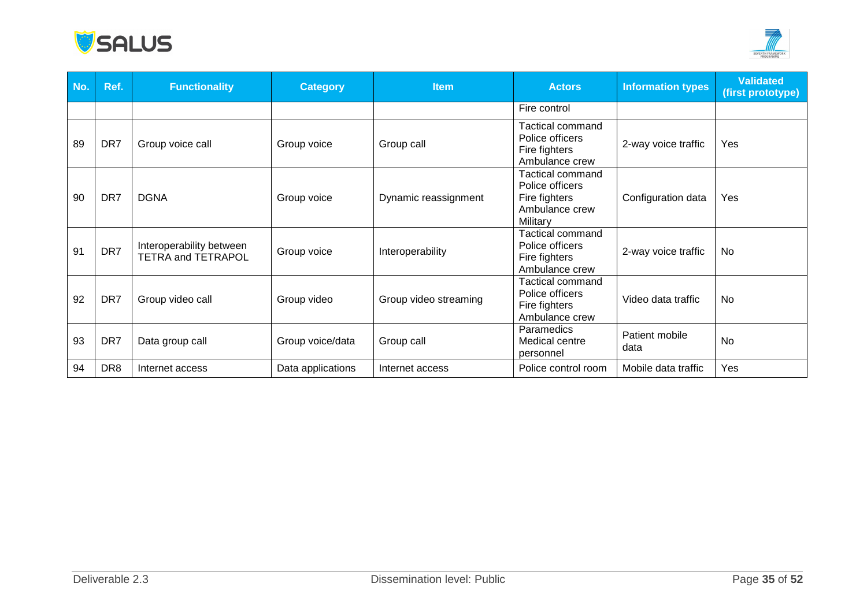



| No. | Ref.            | <b>Functionality</b>                           | <b>Category</b>   | <b>Item</b>           | <b>Actors</b>                                                                             | <b>Information types</b> | <b>Validated</b><br>(first prototype) |
|-----|-----------------|------------------------------------------------|-------------------|-----------------------|-------------------------------------------------------------------------------------------|--------------------------|---------------------------------------|
|     |                 |                                                |                   |                       | Fire control                                                                              |                          |                                       |
| 89  | DR7             | Group voice call                               | Group voice       | Group call            | Tactical command<br>Police officers<br>Fire fighters<br>Ambulance crew                    | 2-way voice traffic      | Yes                                   |
| 90  | DR7             | <b>DGNA</b>                                    | Group voice       | Dynamic reassignment  | <b>Tactical command</b><br>Police officers<br>Fire fighters<br>Ambulance crew<br>Military | Configuration data       | Yes                                   |
| 91  | DR7             | Interoperability between<br>TETRA and TETRAPOL | Group voice       | Interoperability      | Tactical command<br>Police officers<br>Fire fighters<br>Ambulance crew                    | 2-way voice traffic      | No                                    |
| 92  | DR7             | Group video call                               | Group video       | Group video streaming | Tactical command<br>Police officers<br>Fire fighters<br>Ambulance crew                    | Video data traffic       | No                                    |
| 93  | DR7             | Data group call                                | Group voice/data  | Group call            | Paramedics<br>Medical centre<br>personnel                                                 | Patient mobile<br>data   | No                                    |
| 94  | DR <sub>8</sub> | Internet access                                | Data applications | Internet access       | Police control room                                                                       | Mobile data traffic      | Yes                                   |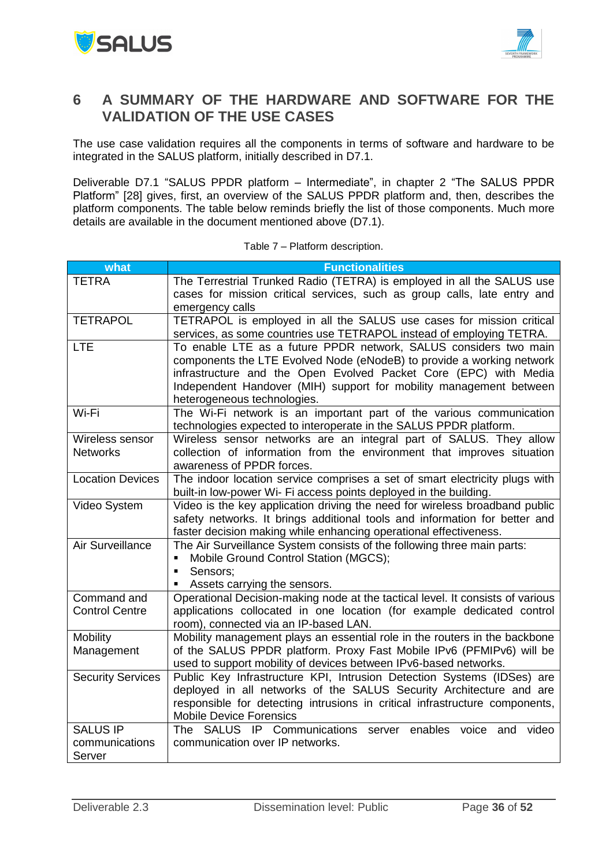



### <span id="page-35-0"></span>**6 A SUMMARY OF THE HARDWARE AND SOFTWARE FOR THE VALIDATION OF THE USE CASES**

The use case validation requires all the components in terms of software and hardware to be integrated in the SALUS platform, initially described in D7.1.

Deliverable D7.1 "SALUS PPDR platform – Intermediate", in chapter 2 "The SALUS PPDR Platform" [28] gives, first, an overview of the SALUS PPDR platform and, then, describes the platform components. The table below reminds briefly the list of those components. Much more details are available in the document mentioned above (D7.1).

| what                     | <b>Functionalities</b>                                                                                                                             |
|--------------------------|----------------------------------------------------------------------------------------------------------------------------------------------------|
| <b>TETRA</b>             | The Terrestrial Trunked Radio (TETRA) is employed in all the SALUS use                                                                             |
|                          | cases for mission critical services, such as group calls, late entry and                                                                           |
|                          | emergency calls                                                                                                                                    |
| <b>TETRAPOL</b>          | TETRAPOL is employed in all the SALUS use cases for mission critical                                                                               |
|                          | services, as some countries use TETRAPOL instead of employing TETRA.                                                                               |
| <b>LTE</b>               | To enable LTE as a future PPDR network, SALUS considers two main                                                                                   |
|                          | components the LTE Evolved Node (eNodeB) to provide a working network                                                                              |
|                          | infrastructure and the Open Evolved Packet Core (EPC) with Media                                                                                   |
|                          | Independent Handover (MIH) support for mobility management between                                                                                 |
|                          | heterogeneous technologies.                                                                                                                        |
| Wi-Fi                    | The Wi-Fi network is an important part of the various communication                                                                                |
|                          | technologies expected to interoperate in the SALUS PPDR platform.                                                                                  |
| Wireless sensor          | Wireless sensor networks are an integral part of SALUS. They allow                                                                                 |
| <b>Networks</b>          | collection of information from the environment that improves situation                                                                             |
|                          | awareness of PPDR forces.                                                                                                                          |
| <b>Location Devices</b>  | The indoor location service comprises a set of smart electricity plugs with                                                                        |
|                          | built-in low-power Wi- Fi access points deployed in the building.                                                                                  |
| Video System             | Video is the key application driving the need for wireless broadband public                                                                        |
|                          | safety networks. It brings additional tools and information for better and                                                                         |
|                          | faster decision making while enhancing operational effectiveness.                                                                                  |
| Air Surveillance         | The Air Surveillance System consists of the following three main parts:                                                                            |
|                          | Mobile Ground Control Station (MGCS);<br>П                                                                                                         |
|                          | Sensors:<br>$\blacksquare$                                                                                                                         |
|                          | Assets carrying the sensors.                                                                                                                       |
| Command and              | Operational Decision-making node at the tactical level. It consists of various                                                                     |
| <b>Control Centre</b>    | applications collocated in one location (for example dedicated control                                                                             |
| <b>Mobility</b>          | room), connected via an IP-based LAN.                                                                                                              |
|                          | Mobility management plays an essential role in the routers in the backbone<br>of the SALUS PPDR platform. Proxy Fast Mobile IPv6 (PFMIPv6) will be |
| Management               | used to support mobility of devices between IPv6-based networks.                                                                                   |
| <b>Security Services</b> | Public Key Infrastructure KPI, Intrusion Detection Systems (IDSes) are                                                                             |
|                          | deployed in all networks of the SALUS Security Architecture and are                                                                                |
|                          | responsible for detecting intrusions in critical infrastructure components,                                                                        |
|                          | <b>Mobile Device Forensics</b>                                                                                                                     |
| <b>SALUS IP</b>          | The SALUS IP Communications<br>server enables<br>voice<br>video<br>and                                                                             |
| communications           | communication over IP networks.                                                                                                                    |
| Server                   |                                                                                                                                                    |

Table 7 – Platform description.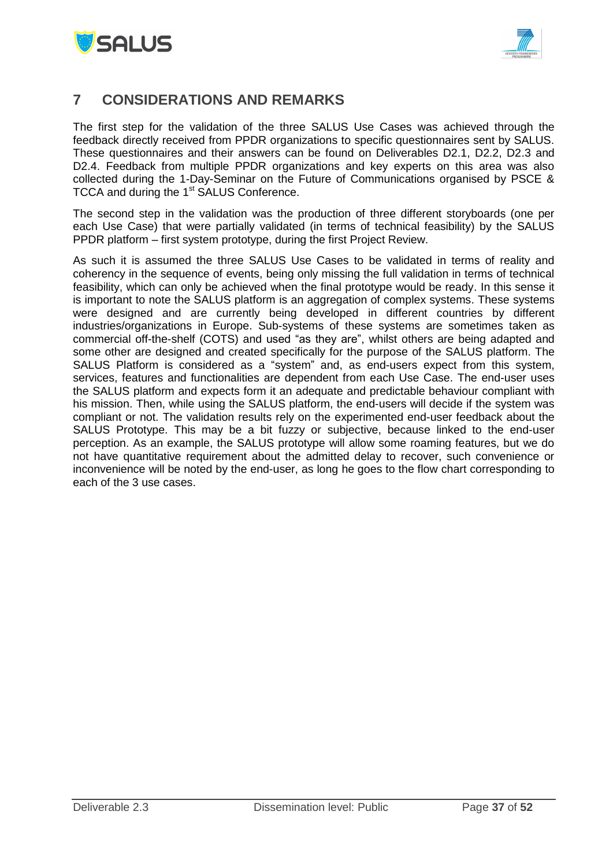



## <span id="page-36-0"></span>**7 CONSIDERATIONS AND REMARKS**

The first step for the validation of the three SALUS Use Cases was achieved through the feedback directly received from PPDR organizations to specific questionnaires sent by SALUS. These questionnaires and their answers can be found on Deliverables D2.1, D2.2, D2.3 and D2.4. Feedback from multiple PPDR organizations and key experts on this area was also collected during the 1-Day-Seminar on the Future of Communications organised by PSCE & TCCA and during the 1<sup>st</sup> SALUS Conference.

The second step in the validation was the production of three different storyboards (one per each Use Case) that were partially validated (in terms of technical feasibility) by the SALUS PPDR platform – first system prototype, during the first Project Review.

As such it is assumed the three SALUS Use Cases to be validated in terms of reality and coherency in the sequence of events, being only missing the full validation in terms of technical feasibility, which can only be achieved when the final prototype would be ready. In this sense it is important to note the SALUS platform is an aggregation of complex systems. These systems were designed and are currently being developed in different countries by different industries/organizations in Europe. Sub-systems of these systems are sometimes taken as commercial off-the-shelf (COTS) and used "as they are", whilst others are being adapted and some other are designed and created specifically for the purpose of the SALUS platform. The SALUS Platform is considered as a "system" and, as end-users expect from this system, services, features and functionalities are dependent from each Use Case. The end-user uses the SALUS platform and expects form it an adequate and predictable behaviour compliant with his mission. Then, while using the SALUS platform, the end-users will decide if the system was compliant or not. The validation results rely on the experimented end-user feedback about the SALUS Prototype. This may be a bit fuzzy or subjective, because linked to the end-user perception. As an example, the SALUS prototype will allow some roaming features, but we do not have quantitative requirement about the admitted delay to recover, such convenience or inconvenience will be noted by the end-user, as long he goes to the flow chart corresponding to each of the 3 use cases.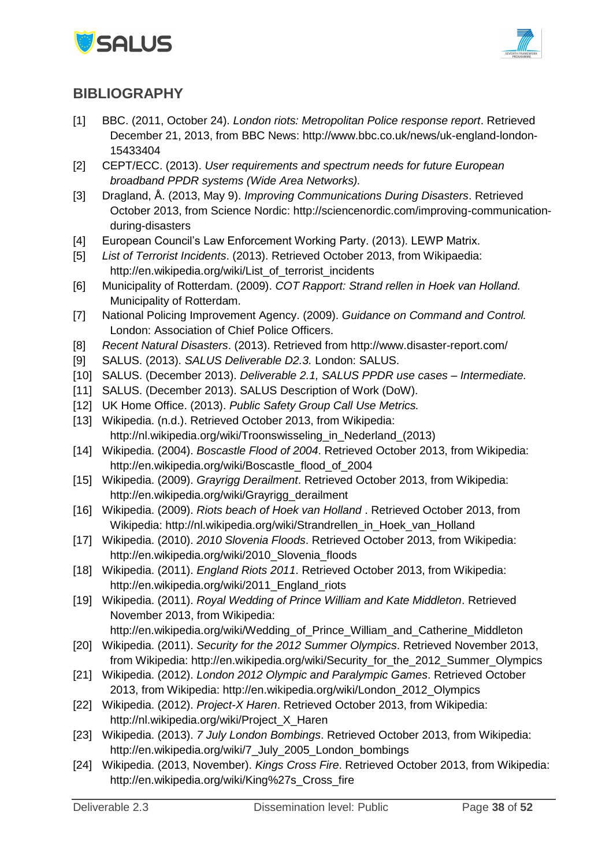



# <span id="page-37-0"></span>**BIBLIOGRAPHY**

- [1] BBC. (2011, October 24). *London riots: Metropolitan Police response report*. Retrieved December 21, 2013, from BBC News: http://www.bbc.co.uk/news/uk-england-london-15433404
- [2] CEPT/ECC. (2013). *User requirements and spectrum needs for future European broadband PPDR systems (Wide Area Networks).*
- [3] Dragland, Å. (2013, May 9). *Improving Communications During Disasters*. Retrieved October 2013, from Science Nordic: http://sciencenordic.com/improving-communicationduring-disasters
- [4] European Council's Law Enforcement Working Party. (2013). LEWP Matrix.
- [5] *List of Terrorist Incidents*. (2013). Retrieved October 2013, from Wikipaedia: http://en.wikipedia.org/wiki/List\_of\_terrorist\_incidents
- [6] Municipality of Rotterdam. (2009). *COT Rapport: Strand rellen in Hoek van Holland.* Municipality of Rotterdam.
- [7] National Policing Improvement Agency. (2009). *Guidance on Command and Control.* London: Association of Chief Police Officers.
- [8] *Recent Natural Disasters*. (2013). Retrieved from http://www.disaster-report.com/
- [9] SALUS. (2013). *SALUS Deliverable D2.3.* London: SALUS.
- [10] SALUS. (December 2013). *Deliverable 2.1, SALUS PPDR use cases – Intermediate.*
- [11] SALUS. (December 2013). SALUS Description of Work (DoW).
- [12] UK Home Office. (2013). *Public Safety Group Call Use Metrics.*
- [13] Wikipedia. (n.d.). Retrieved October 2013, from Wikipedia: http://nl.wikipedia.org/wiki/Troonswisseling\_in\_Nederland\_(2013)
- [14] Wikipedia. (2004). *Boscastle Flood of 2004*. Retrieved October 2013, from Wikipedia: http://en.wikipedia.org/wiki/Boscastle\_flood\_of\_2004
- [15] Wikipedia. (2009). *Grayrigg Derailment*. Retrieved October 2013, from Wikipedia: http://en.wikipedia.org/wiki/Grayrigg\_derailment
- [16] Wikipedia. (2009). *Riots beach of Hoek van Holland* . Retrieved October 2013, from Wikipedia: http://nl.wikipedia.org/wiki/Strandrellen\_in\_Hoek\_van\_Holland
- [17] Wikipedia. (2010). *2010 Slovenia Floods*. Retrieved October 2013, from Wikipedia: http://en.wikipedia.org/wiki/2010\_Slovenia\_floods
- [18] Wikipedia. (2011). *England Riots 2011*. Retrieved October 2013, from Wikipedia: http://en.wikipedia.org/wiki/2011\_England\_riots
- [19] Wikipedia. (2011). *Royal Wedding of Prince William and Kate Middleton*. Retrieved November 2013, from Wikipedia:

http://en.wikipedia.org/wiki/Wedding\_of\_Prince\_William\_and\_Catherine\_Middleton

- [20] Wikipedia. (2011). *Security for the 2012 Summer Olympics*. Retrieved November 2013, from Wikipedia: http://en.wikipedia.org/wiki/Security\_for\_the\_2012\_Summer\_Olympics
- [21] Wikipedia. (2012). *London 2012 Olympic and Paralympic Games*. Retrieved October 2013, from Wikipedia: http://en.wikipedia.org/wiki/London\_2012\_Olympics
- [22] Wikipedia. (2012). *Project-X Haren*. Retrieved October 2013, from Wikipedia: http://nl.wikipedia.org/wiki/Project\_X\_Haren
- [23] Wikipedia. (2013). *7 July London Bombings*. Retrieved October 2013, from Wikipedia: http://en.wikipedia.org/wiki/7\_July\_2005\_London\_bombings
- [24] Wikipedia. (2013, November). *Kings Cross Fire*. Retrieved October 2013, from Wikipedia: http://en.wikipedia.org/wiki/King%27s\_Cross\_fire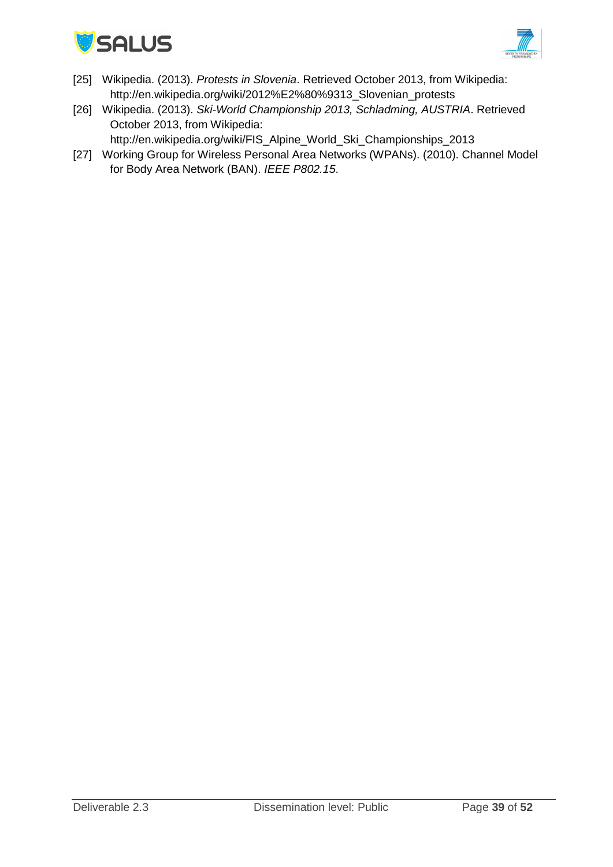



- [25] Wikipedia. (2013). *Protests in Slovenia*. Retrieved October 2013, from Wikipedia: http://en.wikipedia.org/wiki/2012%E2%80%9313\_Slovenian\_protests
- [26] Wikipedia. (2013). *Ski-World Championship 2013, Schladming, AUSTRIA*. Retrieved October 2013, from Wikipedia:
	- http://en.wikipedia.org/wiki/FIS\_Alpine\_World\_Ski\_Championships\_2013
- [27] Working Group for Wireless Personal Area Networks (WPANs). (2010). Channel Model for Body Area Network (BAN). *IEEE P802.15*.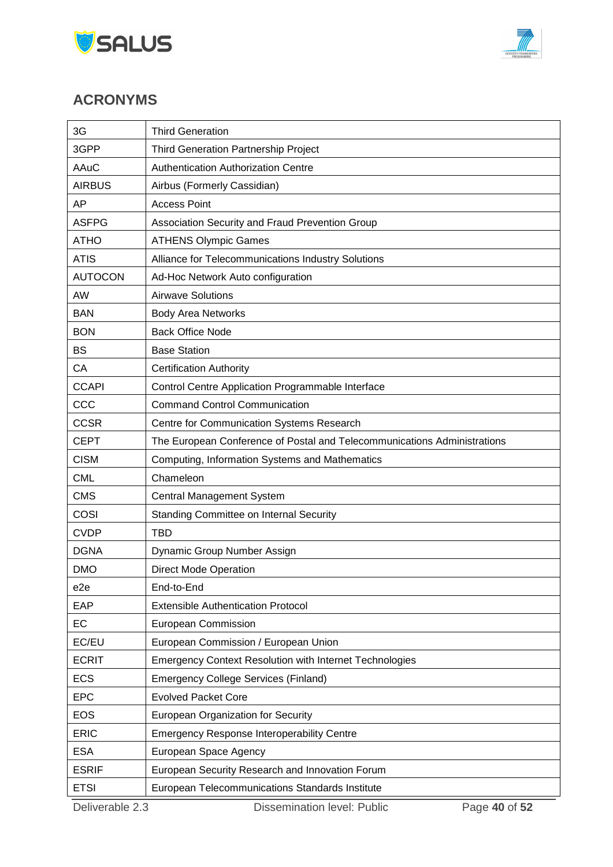



# <span id="page-39-0"></span>**ACRONYMS**

| 3G              | <b>Third Generation</b>                                                  |  |  |  |
|-----------------|--------------------------------------------------------------------------|--|--|--|
| 3GPP            | Third Generation Partnership Project                                     |  |  |  |
| <b>AAuC</b>     | <b>Authentication Authorization Centre</b>                               |  |  |  |
| <b>AIRBUS</b>   | Airbus (Formerly Cassidian)                                              |  |  |  |
| ΑP              | <b>Access Point</b>                                                      |  |  |  |
| <b>ASFPG</b>    | Association Security and Fraud Prevention Group                          |  |  |  |
| <b>ATHO</b>     | <b>ATHENS Olympic Games</b>                                              |  |  |  |
| <b>ATIS</b>     | Alliance for Telecommunications Industry Solutions                       |  |  |  |
| <b>AUTOCON</b>  | Ad-Hoc Network Auto configuration                                        |  |  |  |
| AW              | <b>Airwave Solutions</b>                                                 |  |  |  |
| <b>BAN</b>      | <b>Body Area Networks</b>                                                |  |  |  |
| <b>BON</b>      | <b>Back Office Node</b>                                                  |  |  |  |
| <b>BS</b>       | <b>Base Station</b>                                                      |  |  |  |
| CA              | <b>Certification Authority</b>                                           |  |  |  |
| <b>CCAPI</b>    | Control Centre Application Programmable Interface                        |  |  |  |
| CCC             | <b>Command Control Communication</b>                                     |  |  |  |
| <b>CCSR</b>     | Centre for Communication Systems Research                                |  |  |  |
| <b>CEPT</b>     | The European Conference of Postal and Telecommunications Administrations |  |  |  |
| <b>CISM</b>     | Computing, Information Systems and Mathematics                           |  |  |  |
| <b>CML</b>      | Chameleon                                                                |  |  |  |
| <b>CMS</b>      | Central Management System                                                |  |  |  |
| COSI            | Standing Committee on Internal Security                                  |  |  |  |
| <b>CVDP</b>     | <b>TBD</b>                                                               |  |  |  |
| <b>DGNA</b>     | Dynamic Group Number Assign                                              |  |  |  |
| <b>DMO</b>      | <b>Direct Mode Operation</b>                                             |  |  |  |
| e <sub>2e</sub> | End-to-End                                                               |  |  |  |
| EAP             | <b>Extensible Authentication Protocol</b>                                |  |  |  |
| EC              | <b>European Commission</b>                                               |  |  |  |
| EC/EU           | European Commission / European Union                                     |  |  |  |
| <b>ECRIT</b>    | <b>Emergency Context Resolution with Internet Technologies</b>           |  |  |  |
| <b>ECS</b>      | <b>Emergency College Services (Finland)</b>                              |  |  |  |
| <b>EPC</b>      | <b>Evolved Packet Core</b>                                               |  |  |  |
| <b>EOS</b>      | European Organization for Security                                       |  |  |  |
| <b>ERIC</b>     | <b>Emergency Response Interoperability Centre</b>                        |  |  |  |
| <b>ESA</b>      | European Space Agency                                                    |  |  |  |
| <b>ESRIF</b>    | European Security Research and Innovation Forum                          |  |  |  |
| <b>ETSI</b>     | European Telecommunications Standards Institute                          |  |  |  |
| Deliverable 2.3 | Dissemination level: Public<br>Page 40 of 52                             |  |  |  |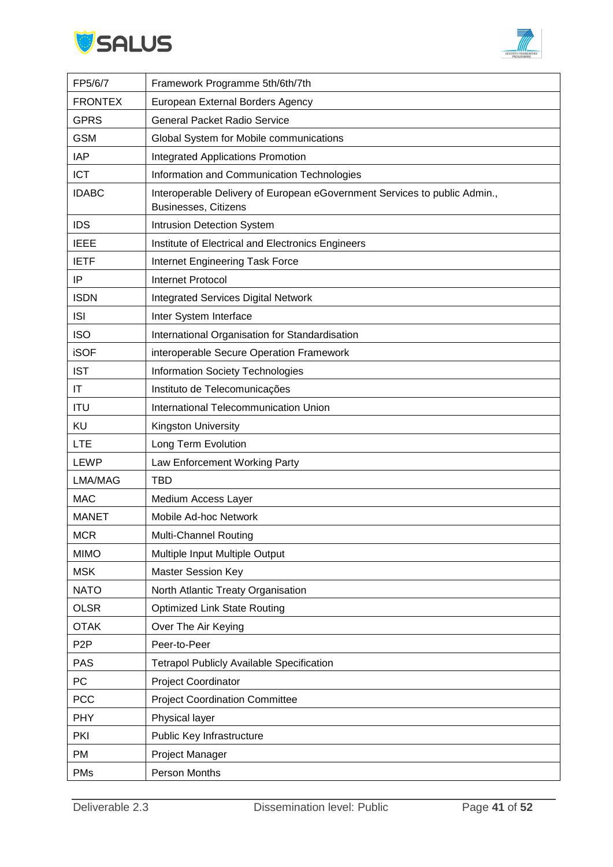



| FP5/6/7          | Framework Programme 5th/6th/7th                                                                          |
|------------------|----------------------------------------------------------------------------------------------------------|
| <b>FRONTEX</b>   | European External Borders Agency                                                                         |
| <b>GPRS</b>      | <b>General Packet Radio Service</b>                                                                      |
| <b>GSM</b>       | Global System for Mobile communications                                                                  |
| <b>IAP</b>       | <b>Integrated Applications Promotion</b>                                                                 |
| <b>ICT</b>       | Information and Communication Technologies                                                               |
| <b>IDABC</b>     | Interoperable Delivery of European eGovernment Services to public Admin.,<br><b>Businesses, Citizens</b> |
| <b>IDS</b>       | Intrusion Detection System                                                                               |
| <b>IEEE</b>      | Institute of Electrical and Electronics Engineers                                                        |
| <b>IETF</b>      | Internet Engineering Task Force                                                                          |
| ΙP               | <b>Internet Protocol</b>                                                                                 |
| <b>ISDN</b>      | <b>Integrated Services Digital Network</b>                                                               |
| <b>ISI</b>       | Inter System Interface                                                                                   |
| <b>ISO</b>       | International Organisation for Standardisation                                                           |
| <b>iSOF</b>      | interoperable Secure Operation Framework                                                                 |
| <b>IST</b>       | <b>Information Society Technologies</b>                                                                  |
| IT               | Instituto de Telecomunicações                                                                            |
| <b>ITU</b>       | International Telecommunication Union                                                                    |
| KU               | Kingston University                                                                                      |
| <b>LTE</b>       | Long Term Evolution                                                                                      |
| <b>LEWP</b>      | Law Enforcement Working Party                                                                            |
| LMA/MAG          | <b>TBD</b>                                                                                               |
| <b>MAC</b>       | Medium Access Layer                                                                                      |
| <b>MANET</b>     | Mobile Ad-hoc Network                                                                                    |
| <b>MCR</b>       | Multi-Channel Routing                                                                                    |
| <b>MIMO</b>      | Multiple Input Multiple Output                                                                           |
| <b>MSK</b>       | <b>Master Session Key</b>                                                                                |
| <b>NATO</b>      | North Atlantic Treaty Organisation                                                                       |
| <b>OLSR</b>      | <b>Optimized Link State Routing</b>                                                                      |
| <b>OTAK</b>      | Over The Air Keying                                                                                      |
| P <sub>2</sub> P | Peer-to-Peer                                                                                             |
| <b>PAS</b>       | <b>Tetrapol Publicly Available Specification</b>                                                         |
| PC               | <b>Project Coordinator</b>                                                                               |
| <b>PCC</b>       | <b>Project Coordination Committee</b>                                                                    |
| <b>PHY</b>       | Physical layer                                                                                           |
| PKI              | Public Key Infrastructure                                                                                |
| <b>PM</b>        | Project Manager                                                                                          |
| <b>PMs</b>       | Person Months                                                                                            |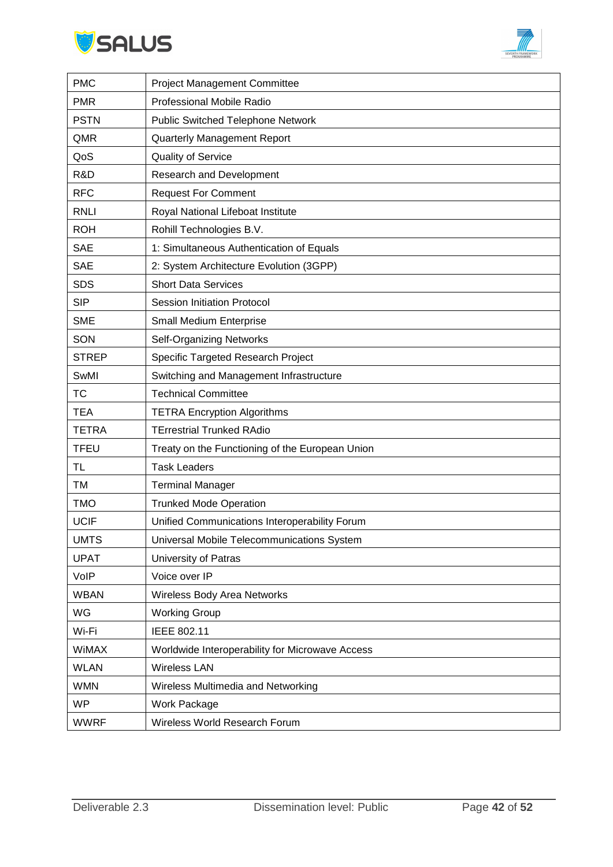



| <b>PMC</b>   | <b>Project Management Committee</b>             |
|--------------|-------------------------------------------------|
| <b>PMR</b>   | Professional Mobile Radio                       |
| <b>PSTN</b>  | <b>Public Switched Telephone Network</b>        |
| QMR          | Quarterly Management Report                     |
| QoS          | Quality of Service                              |
| R&D          | <b>Research and Development</b>                 |
| <b>RFC</b>   | <b>Request For Comment</b>                      |
| <b>RNLI</b>  | Royal National Lifeboat Institute               |
| <b>ROH</b>   | Rohill Technologies B.V.                        |
| <b>SAE</b>   | 1: Simultaneous Authentication of Equals        |
| <b>SAE</b>   | 2: System Architecture Evolution (3GPP)         |
| <b>SDS</b>   | <b>Short Data Services</b>                      |
| <b>SIP</b>   | Session Initiation Protocol                     |
| <b>SME</b>   | Small Medium Enterprise                         |
| SON          | <b>Self-Organizing Networks</b>                 |
| <b>STREP</b> | Specific Targeted Research Project              |
| SwMI         | Switching and Management Infrastructure         |
| <b>TC</b>    | <b>Technical Committee</b>                      |
| <b>TEA</b>   | <b>TETRA Encryption Algorithms</b>              |
| <b>TETRA</b> | <b>TErrestrial Trunked RAdio</b>                |
| <b>TFEU</b>  | Treaty on the Functioning of the European Union |
| TL           | <b>Task Leaders</b>                             |
| TM           | <b>Terminal Manager</b>                         |
| <b>TMO</b>   | <b>Trunked Mode Operation</b>                   |
| <b>UCIF</b>  | Unified Communications Interoperability Forum   |
| UMTS         | Universal Mobile Telecommunications System      |
| <b>UPAT</b>  | University of Patras                            |
| VoIP         | Voice over IP                                   |
| <b>WBAN</b>  | Wireless Body Area Networks                     |
| WG           | <b>Working Group</b>                            |
| Wi-Fi        | IEEE 802.11                                     |
| WiMAX        | Worldwide Interoperability for Microwave Access |
| <b>WLAN</b>  | <b>Wireless LAN</b>                             |
| <b>WMN</b>   | Wireless Multimedia and Networking              |
| <b>WP</b>    | Work Package                                    |
| <b>WWRF</b>  | Wireless World Research Forum                   |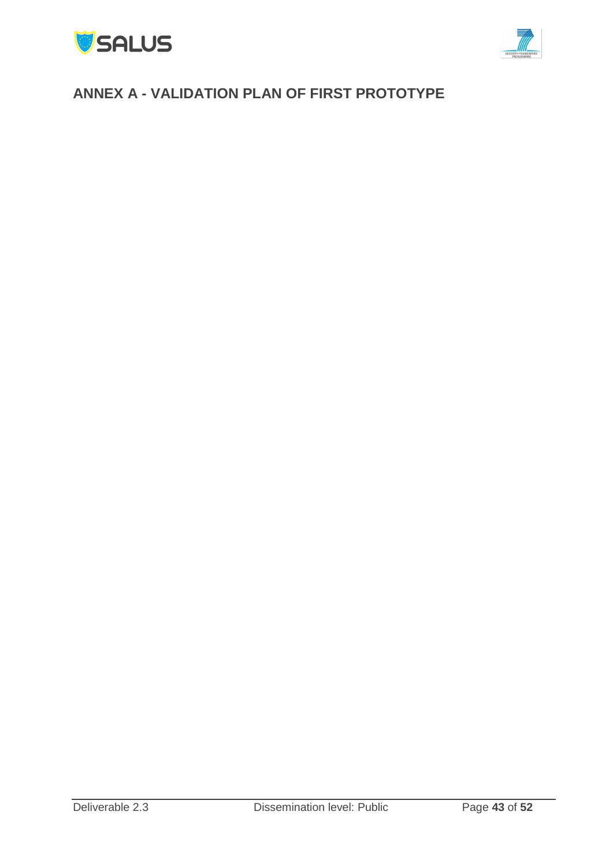



# <span id="page-42-0"></span>**ANNEX A - VALIDATION PLAN OF FIRST PROTOTYPE**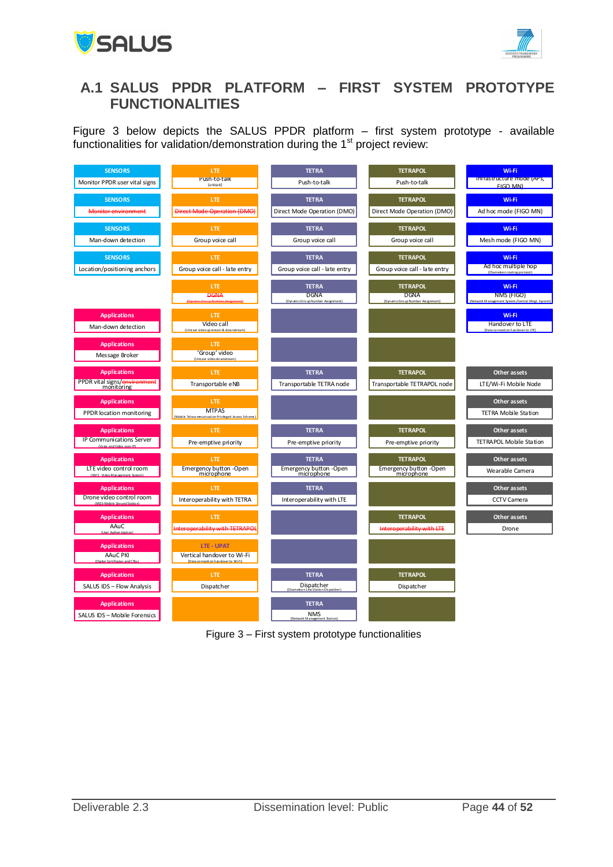



# <span id="page-43-0"></span>**A.1 SALUS PPDR PLATFORM – FIRST SYSTEM PROTOTYPE FUNCTIONALITIES**

[Figure 3](#page-43-1) below depicts the SALUS PPDR platform – first system prototype - available



<span id="page-43-1"></span>Figure 3 – First system prototype functionalities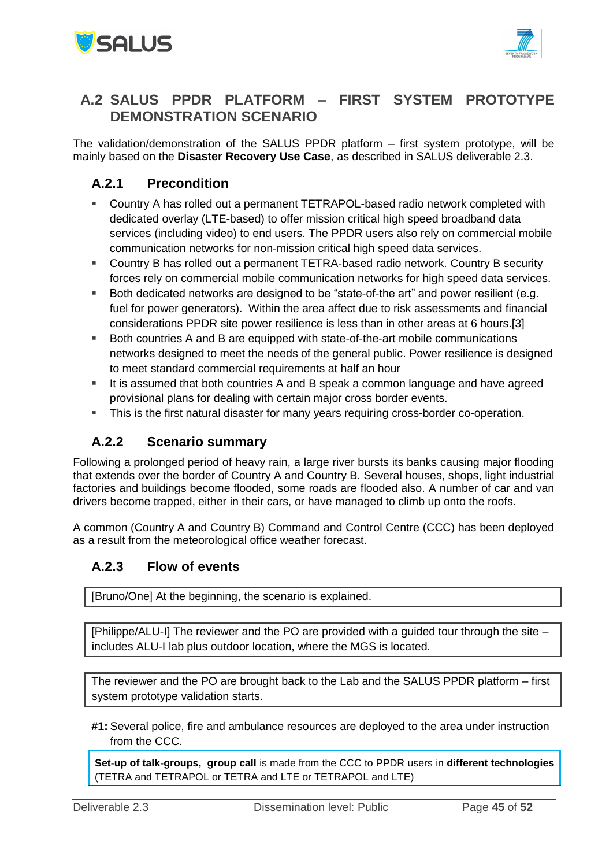



### <span id="page-44-0"></span>**A.2 SALUS PPDR PLATFORM – FIRST SYSTEM PROTOTYPE DEMONSTRATION SCENARIO**

The validation/demonstration of the SALUS PPDR platform – first system prototype, will be mainly based on the **Disaster Recovery Use Case**, as described in SALUS deliverable 2.3.

### <span id="page-44-1"></span>**A.2.1 Precondition**

- Country A has rolled out a permanent TETRAPOL-based radio network completed with dedicated overlay (LTE-based) to offer mission critical high speed broadband data services (including video) to end users. The PPDR users also rely on commercial mobile communication networks for non-mission critical high speed data services.
- Country B has rolled out a permanent TETRA-based radio network. Country B security forces rely on commercial mobile communication networks for high speed data services.
- Both dedicated networks are designed to be "state-of-the art" and power resilient (e.g. fuel for power generators). Within the area affect due to risk assessments and financial considerations PPDR site power resilience is less than in other areas at 6 hours.[3]
- Both countries A and B are equipped with state-of-the-art mobile communications networks designed to meet the needs of the general public. Power resilience is designed to meet standard commercial requirements at half an hour
- It is assumed that both countries A and B speak a common language and have agreed provisional plans for dealing with certain major cross border events.
- This is the first natural disaster for many years requiring cross-border co-operation.

### <span id="page-44-2"></span>**A.2.2 Scenario summary**

Following a prolonged period of heavy rain, a large river bursts its banks causing major flooding that extends over the border of Country A and Country B. Several houses, shops, light industrial factories and buildings become flooded, some roads are flooded also. A number of car and van drivers become trapped, either in their cars, or have managed to climb up onto the roofs.

A common (Country A and Country B) Command and Control Centre (CCC) has been deployed as a result from the meteorological office weather forecast.

### <span id="page-44-3"></span>**A.2.3 Flow of events**

[Bruno/One] At the beginning, the scenario is explained.

[Philippe/ALU-I] The reviewer and the PO are provided with a guided tour through the site – includes ALU-I lab plus outdoor location, where the MGS is located.

The reviewer and the PO are brought back to the Lab and the SALUS PPDR platform – first system prototype validation starts.

**#1:** Several police, fire and ambulance resources are deployed to the area under instruction from the CCC.

**Set-up of talk-groups, group call** is made from the CCC to PPDR users in **different technologies** (TETRA and TETRAPOL or TETRA and LTE or TETRAPOL and LTE)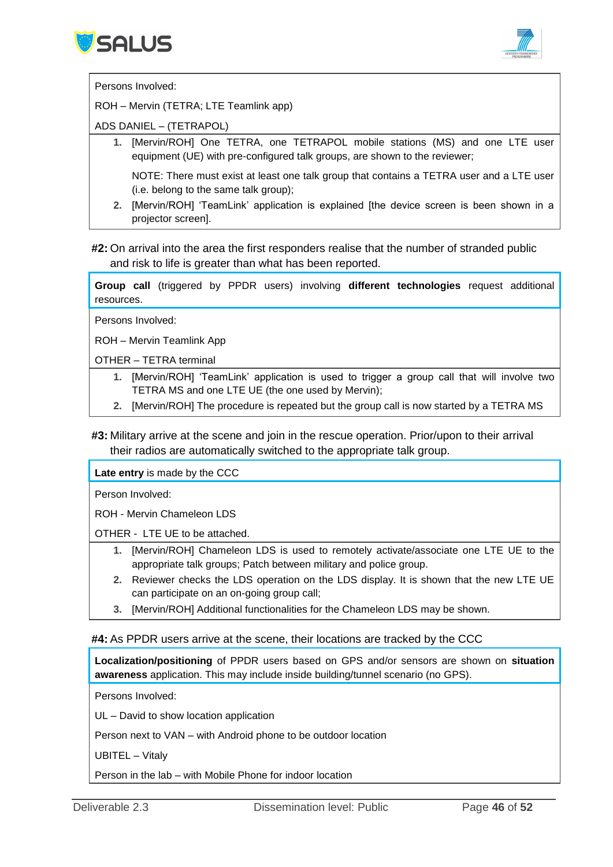



Persons Involved:

ROH – Mervin (TETRA; LTE Teamlink app)

ADS DANIEL – (TETRAPOL)

**1.** [Mervin/ROH] One TETRA, one TETRAPOL mobile stations (MS) and one LTE user equipment (UE) with pre-configured talk groups, are shown to the reviewer;

NOTE: There must exist at least one talk group that contains a TETRA user and a LTE user (i.e. belong to the same talk group);

**2.** [Mervin/ROH] 'TeamLink' application is explained [the device screen is been shown in a projector screen].

#### **#2:** On arrival into the area the first responders realise that the number of stranded public and risk to life is greater than what has been reported.

**Group call** (triggered by PPDR users) involving **different technologies** request additional resources.

Persons Involved:

ROH – Mervin Teamlink App

OTHER – TETRA terminal

- **1.** [Mervin/ROH] 'TeamLink' application is used to trigger a group call that will involve two TETRA MS and one LTE UE (the one used by Mervin);
- **2.** [Mervin/ROH] The procedure is repeated but the group call is now started by a TETRA MS

#### **#3:** Military arrive at the scene and join in the rescue operation. Prior/upon to their arrival their radios are automatically switched to the appropriate talk group.

**Late entry** is made by the CCC

Person Involved:

ROH - Mervin Chameleon LDS

OTHER - LTE UE to be attached.

- **1.** [Mervin/ROH] Chameleon LDS is used to remotely activate/associate one LTE UE to the appropriate talk groups; Patch between military and police group.
- **2.** Reviewer checks the LDS operation on the LDS display. It is shown that the new LTE UE can participate on an on-going group call;
- **3.** [Mervin/ROH] Additional functionalities for the Chameleon LDS may be shown.

#### **#4:** As PPDR users arrive at the scene, their locations are tracked by the CCC

**Localization/positioning** of PPDR users based on GPS and/or sensors are shown on **situation awareness** application. This may include inside building/tunnel scenario (no GPS).

Persons Involved:

UL – David to show location application

Person next to VAN – with Android phone to be outdoor location

UBITEL – Vitaly

Person in the lab – with Mobile Phone for indoor location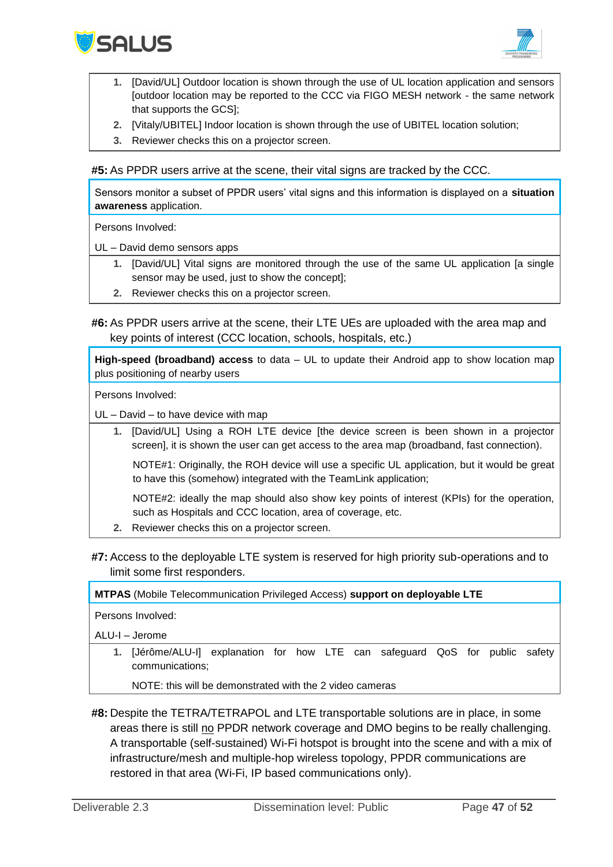



- **1.** [David/UL] Outdoor location is shown through the use of UL location application and sensors [outdoor location may be reported to the CCC via FIGO MESH network - the same network that supports the GCS];
- **2.** [Vitaly/UBITEL] Indoor location is shown through the use of UBITEL location solution;
- **3.** Reviewer checks this on a projector screen.

**#5:** As PPDR users arrive at the scene, their vital signs are tracked by the CCC.

Sensors monitor a subset of PPDR users' vital signs and this information is displayed on a **situation awareness** application.

Persons Involved:

UL – David demo sensors apps

- **1.** [David/UL] Vital signs are monitored through the use of the same UL application [a single sensor may be used, just to show the concept];
- **2.** Reviewer checks this on a projector screen.
- **#6:** As PPDR users arrive at the scene, their LTE UEs are uploaded with the area map and key points of interest (CCC location, schools, hospitals, etc.)

**High-speed (broadband) access** to data – UL to update their Android app to show location map plus positioning of nearby users

Persons Involved:

UL – David – to have device with map

**1.** [David/UL] Using a ROH LTE device [the device screen is been shown in a projector screen], it is shown the user can get access to the area map (broadband, fast connection).

NOTE#1: Originally, the ROH device will use a specific UL application, but it would be great to have this (somehow) integrated with the TeamLink application;

NOTE#2: ideally the map should also show key points of interest (KPIs) for the operation, such as Hospitals and CCC location, area of coverage, etc.

- **2.** Reviewer checks this on a projector screen.
- **#7:** Access to the deployable LTE system is reserved for high priority sub-operations and to limit some first responders.

**MTPAS** (Mobile Telecommunication Privileged Access) **support on deployable LTE**

Persons Involved:

ALU-I – Jerome

**1.** [Jérôme/ALU-I] explanation for how LTE can safeguard QoS for public safety communications;

NOTE: this will be demonstrated with the 2 video cameras

**#8:** Despite the TETRA/TETRAPOL and LTE transportable solutions are in place, in some areas there is still no PPDR network coverage and DMO begins to be really challenging. A transportable (self-sustained) Wi-Fi hotspot is brought into the scene and with a mix of infrastructure/mesh and multiple-hop wireless topology, PPDR communications are restored in that area (Wi-Fi, IP based communications only).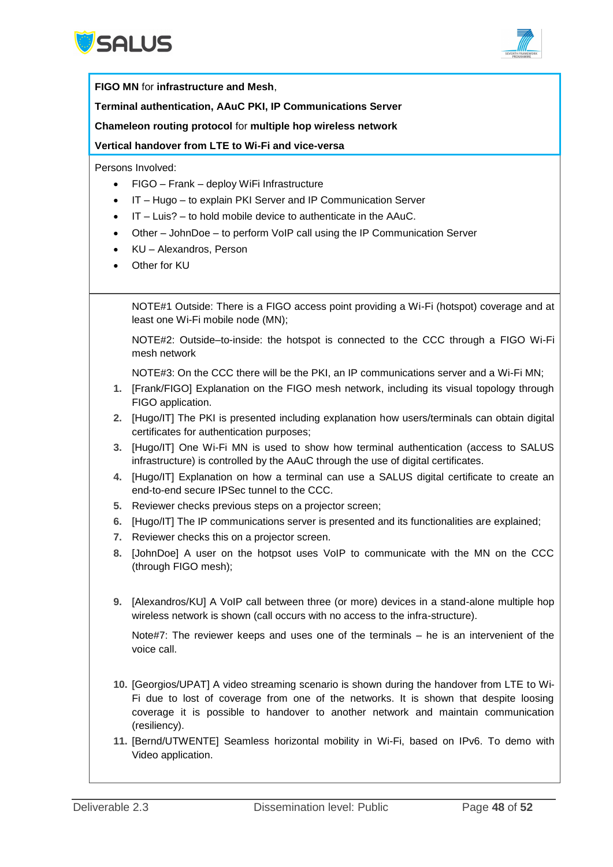



|                                                                    | FIGO MN for infrastructure and Mesh,                                                                                                                                                                                                                                                                                      |  |
|--------------------------------------------------------------------|---------------------------------------------------------------------------------------------------------------------------------------------------------------------------------------------------------------------------------------------------------------------------------------------------------------------------|--|
| Terminal authentication, AAuC PKI, IP Communications Server        |                                                                                                                                                                                                                                                                                                                           |  |
| Chameleon routing protocol for multiple hop wireless network       |                                                                                                                                                                                                                                                                                                                           |  |
|                                                                    | Vertical handover from LTE to Wi-Fi and vice-versa                                                                                                                                                                                                                                                                        |  |
| $\bullet$<br>$\bullet$<br>$\bullet$<br>$\bullet$<br>$\bullet$<br>٠ | Persons Involved:<br>FIGO - Frank - deploy WiFi Infrastructure<br>IT - Hugo - to explain PKI Server and IP Communication Server<br>IT - Luis? - to hold mobile device to authenticate in the AAuC.<br>Other - JohnDoe - to perform VoIP call using the IP Communication Server<br>KU - Alexandros, Person<br>Other for KU |  |
|                                                                    | NOTE#1 Outside: There is a FIGO access point providing a Wi-Fi (hotspot) coverage and at<br>least one Wi-Fi mobile node (MN);                                                                                                                                                                                             |  |
|                                                                    | NOTE#2: Outside-to-inside: the hotspot is connected to the CCC through a FIGO Wi-Fi<br>mesh network                                                                                                                                                                                                                       |  |
| 1.                                                                 | NOTE#3: On the CCC there will be the PKI, an IP communications server and a Wi-Fi MN;<br>[Frank/FIGO] Explanation on the FIGO mesh network, including its visual topology through<br>FIGO application.                                                                                                                    |  |
| 2.                                                                 | [Hugo/IT] The PKI is presented including explanation how users/terminals can obtain digital<br>certificates for authentication purposes;                                                                                                                                                                                  |  |
| 3 <sub>1</sub>                                                     | [Hugo/IT] One Wi-Fi MN is used to show how terminal authentication (access to SALUS<br>infrastructure) is controlled by the AAuC through the use of digital certificates.                                                                                                                                                 |  |
| 4.                                                                 | [Hugo/IT] Explanation on how a terminal can use a SALUS digital certificate to create an<br>end-to-end secure IPSec tunnel to the CCC.                                                                                                                                                                                    |  |
| 5.                                                                 | Reviewer checks previous steps on a projector screen;                                                                                                                                                                                                                                                                     |  |
| 6.<br>7.                                                           | [Hugo/IT] The IP communications server is presented and its functionalities are explained;<br>Reviewer checks this on a projector screen.                                                                                                                                                                                 |  |
| 8.                                                                 | [JohnDoe] A user on the hotpsot uses VoIP to communicate with the MN on the CCC<br>(through FIGO mesh);                                                                                                                                                                                                                   |  |
| 9.                                                                 | [Alexandros/KU] A VoIP call between three (or more) devices in a stand-alone multiple hop<br>wireless network is shown (call occurs with no access to the infra-structure).                                                                                                                                               |  |
|                                                                    | Note#7: The reviewer keeps and uses one of the terminals $-$ he is an intervenient of the<br>voice call.                                                                                                                                                                                                                  |  |
|                                                                    | 10. [Georgios/UPAT] A video streaming scenario is shown during the handover from LTE to Wi-<br>Fi due to lost of coverage from one of the networks. It is shown that despite loosing<br>coverage it is possible to handover to another network and maintain communication<br>(resiliency).                                |  |
|                                                                    | 11. [Bernd/UTWENTE] Seamless horizontal mobility in Wi-Fi, based on IPv6. To demo with<br>Video application.                                                                                                                                                                                                              |  |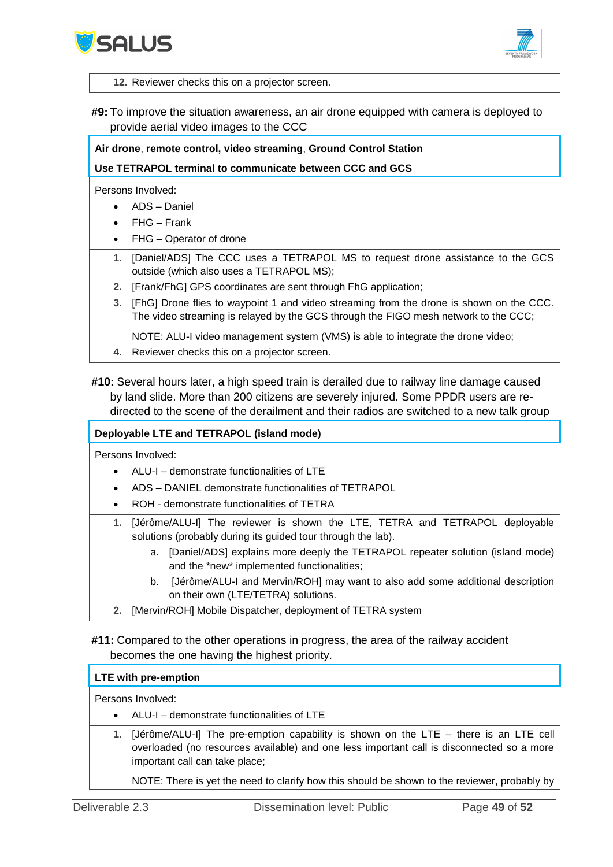



**12.** Reviewer checks this on a projector screen.

**#9:** To improve the situation awareness, an air drone equipped with camera is deployed to provide aerial video images to the CCC

#### **Air drone**, **remote control, video streaming**, **Ground Control Station**

**Use TETRAPOL terminal to communicate between CCC and GCS**

Persons Involved:

- ADS Daniel
- FHG Frank
- FHG Operator of drone
- **1.** [Daniel/ADS] The CCC uses a TETRAPOL MS to request drone assistance to the GCS outside (which also uses a TETRAPOL MS);
- **2.** [Frank/FhG] GPS coordinates are sent through FhG application;
- **3.** [FhG] Drone flies to waypoint 1 and video streaming from the drone is shown on the CCC. The video streaming is relayed by the GCS through the FIGO mesh network to the CCC;

NOTE: ALU-I video management system (VMS) is able to integrate the drone video;

**4.** Reviewer checks this on a projector screen.

**#10:** Several hours later, a high speed train is derailed due to railway line damage caused by land slide. More than 200 citizens are severely injured. Some PPDR users are redirected to the scene of the derailment and their radios are switched to a new talk group

#### **Deployable LTE and TETRAPOL (island mode)**

Persons Involved:

- ALU-I demonstrate functionalities of LTE
- ADS DANIEL demonstrate functionalities of TETRAPOL
- ROH demonstrate functionalities of TETRA
- **1.** [Jérôme/ALU-I] The reviewer is shown the LTE, TETRA and TETRAPOL deployable solutions (probably during its guided tour through the lab).
	- a. [Daniel/ADS] explains more deeply the TETRAPOL repeater solution (island mode) and the \*new\* implemented functionalities;
	- b. [Jérôme/ALU-I and Mervin/ROH] may want to also add some additional description on their own (LTE/TETRA) solutions.
- **2.** [Mervin/ROH] Mobile Dispatcher, deployment of TETRA system

**#11:** Compared to the other operations in progress, the area of the railway accident becomes the one having the highest priority.

#### **LTE with pre-emption**

Persons Involved:

- ALU-I demonstrate functionalities of LTE
- **1.** [Jérôme/ALU-I] The pre-emption capability is shown on the LTE there is an LTE cell overloaded (no resources available) and one less important call is disconnected so a more important call can take place;

NOTE: There is yet the need to clarify how this should be shown to the reviewer, probably by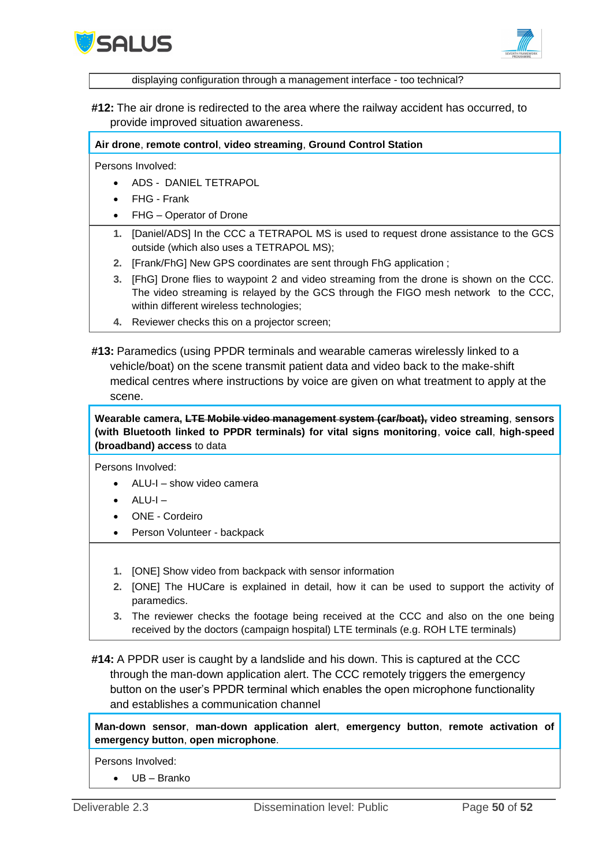



displaying configuration through a management interface - too technical?

**#12:** The air drone is redirected to the area where the railway accident has occurred, to provide improved situation awareness.

**Air drone**, **remote control**, **video streaming**, **Ground Control Station**

Persons Involved:

- ADS DANIEL TETRAPOL
- FHG Frank
- FHG Operator of Drone
- **1.** [Daniel/ADS] In the CCC a TETRAPOL MS is used to request drone assistance to the GCS outside (which also uses a TETRAPOL MS);
- **2.** [Frank/FhG] New GPS coordinates are sent through FhG application ;
- **3.** [FhG] Drone flies to waypoint 2 and video streaming from the drone is shown on the CCC. The video streaming is relayed by the GCS through the FIGO mesh network to the CCC, within different wireless technologies;
- **4.** Reviewer checks this on a projector screen;
- **#13:** Paramedics (using PPDR terminals and wearable cameras wirelessly linked to a vehicle/boat) on the scene transmit patient data and video back to the make-shift medical centres where instructions by voice are given on what treatment to apply at the scene.

**Wearable camera, LTE Mobile video management system (car/boat), video streaming**, **sensors (with Bluetooth linked to PPDR terminals) for vital signs monitoring**, **voice call**, **high-speed (broadband) access** to data

Persons Involved:

- $\bullet$  ALU-L show video camera
- ALU-I –
- ONE Cordeiro
- Person Volunteer backpack
- **1.** [ONE] Show video from backpack with sensor information
- **2.** [ONE] The HUCare is explained in detail, how it can be used to support the activity of paramedics.
- **3.** The reviewer checks the footage being received at the CCC and also on the one being received by the doctors (campaign hospital) LTE terminals (e.g. ROH LTE terminals)
- **#14:** A PPDR user is caught by a landslide and his down. This is captured at the CCC through the man-down application alert. The CCC remotely triggers the emergency button on the user's PPDR terminal which enables the open microphone functionality and establishes a communication channel

**Man-down sensor**, **man-down application alert**, **emergency button**, **remote activation of emergency button**, **open microphone**.

Persons Involved:

UB – Branko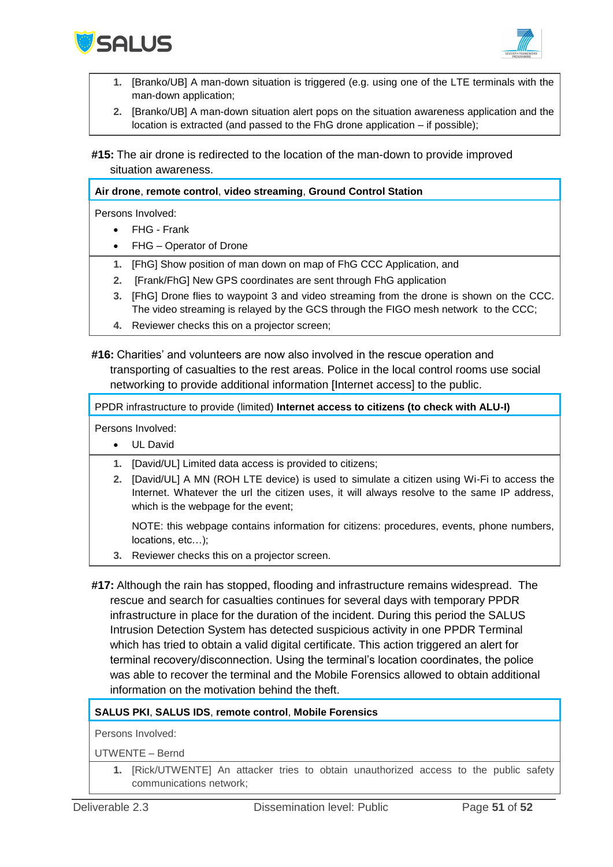



- **1.** [Branko/UB] A man-down situation is triggered (e.g. using one of the LTE terminals with the man-down application;
- **2.** [Branko/UB] A man-down situation alert pops on the situation awareness application and the location is extracted (and passed to the FhG drone application – if possible);

**#15:** The air drone is redirected to the location of the man-down to provide improved situation awareness.

#### **Air drone**, **remote control**, **video streaming**, **Ground Control Station**

Persons Involved:

- FHG Frank
- FHG Operator of Drone
- **1.** [FhG] Show position of man down on map of FhG CCC Application, and
- **2.** [Frank/FhG] New GPS coordinates are sent through FhG application
- **3.** [FhG] Drone flies to waypoint 3 and video streaming from the drone is shown on the CCC. The video streaming is relayed by the GCS through the FIGO mesh network to the CCC;
- **4.** Reviewer checks this on a projector screen;

**#16:** Charities' and volunteers are now also involved in the rescue operation and transporting of casualties to the rest areas. Police in the local control rooms use social networking to provide additional information [Internet access] to the public.

PPDR infrastructure to provide (limited) **Internet access to citizens (to check with ALU-I)**

Persons Involved:

- UL David
- **1.** [David/UL] Limited data access is provided to citizens;
- **2.** [David/UL] A MN (ROH LTE device) is used to simulate a citizen using Wi-Fi to access the Internet. Whatever the url the citizen uses, it will always resolve to the same IP address, which is the webpage for the event;

NOTE: this webpage contains information for citizens: procedures, events, phone numbers, locations, etc…);

- **3.** Reviewer checks this on a projector screen.
- **#17:** Although the rain has stopped, flooding and infrastructure remains widespread. The rescue and search for casualties continues for several days with temporary PPDR infrastructure in place for the duration of the incident. During this period the SALUS Intrusion Detection System has detected suspicious activity in one PPDR Terminal which has tried to obtain a valid digital certificate. This action triggered an alert for terminal recovery/disconnection. Using the terminal's location coordinates, the police was able to recover the terminal and the Mobile Forensics allowed to obtain additional information on the motivation behind the theft.

#### **SALUS PKI**, **SALUS IDS**, **remote control**, **Mobile Forensics**

Persons Involved:

UTWENTE – Bernd

**1.** [Rick/UTWENTE] An attacker tries to obtain unauthorized access to the public safety communications network;